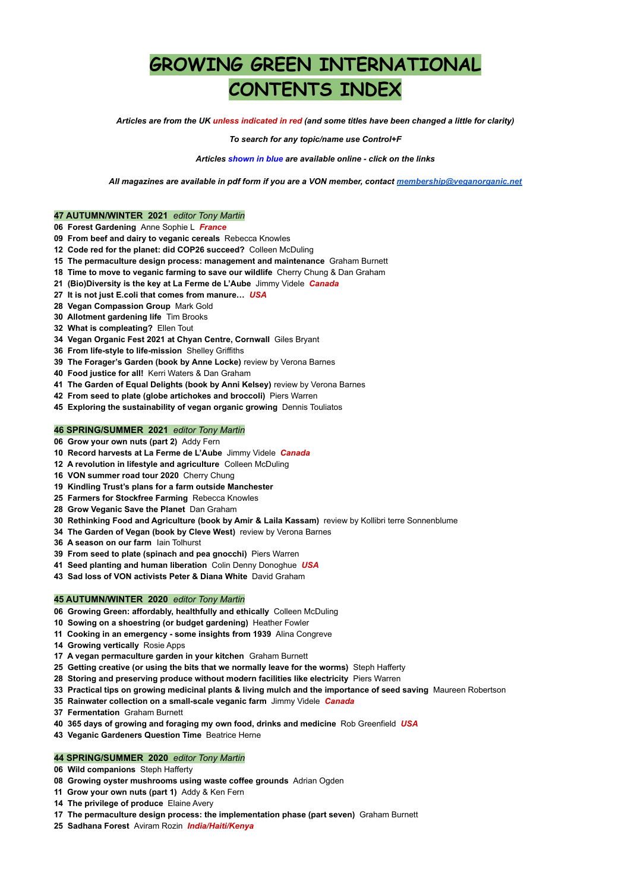# **GROWING GREEN INTERNATIONAL CONTENTS INDEX**

Articles are from the UK unless indicated in red (and some titles have been changed a little for clarity)

*To search for any topic/name use Control+F*

*Articles shown in blue are available online - click on the links*

*All magazines are available in pdf form if you are a VON member, contact [membership@veganorganic.net](mailto:membership@veganorganic.net)*

# **47 AUTUMN/WINTER 2021** *editor Tony Martin*

- **Forest Gardening** Anne Sophie L *France*
- **From beef and dairy to veganic cereals** Rebecca Knowles
- **Code red for the planet: did COP26 succeed?** Colleen McDuling
- **The permaculture design process: management and maintenance** Graham Burnett
- **Time to move to veganic farming to save our wildlife** Cherry Chung & Dan Graham
- **(Bio)Diversity is the key at La Ferme de L'Aube** Jimmy Videle *Canada*
- **It is not just E.coli that comes from manure…** *USA*
- **Vegan Compassion Group** Mark Gold
- **Allotment gardening life** Tim Brooks
- **What is compleating?** Ellen Tout
- **Vegan Organic Fest 2021 at Chyan Centre, Cornwall** Giles Bryant
- **From life-style to life-mission** Shelley Griffiths
- **The Forager's Garden (book by Anne Locke)** review by Verona Barnes
- **Food justice for all!** Kerri Waters & Dan Graham
- **The Garden of Equal Delights (book by Anni Kelsey)** review by Verona Barnes
- **From seed to plate (globe artichokes and broccoli)** Piers Warren
- **Exploring the sustainability of vegan organic growing** Dennis Touliatos

# **46 SPRING/SUMMER 2021** *editor Tony Martin*

- **Grow your own nuts (part 2)** Addy Fern
- **Record harvests at La Ferme de L'Aube** Jimmy Videle *Canada*
- **A revolution in lifestyle and agriculture** Colleen McDuling
- **VON summer road tour 2020** Cherry Chung
- **Kindling Trust's plans for a farm outside Manchester**
- **Farmers for Stockfree Farming** Rebecca Knowles
- **Grow Veganic Save the Planet** Dan Graham
- **Rethinking Food and Agriculture (book by Amir & Laila Kassam)** review by Kollibri terre Sonnenblume
- **The Garden of Vegan (book by Cleve West)** review by Verona Barnes
- **A season on our farm** Iain Tolhurst
- **From seed to plate (spinach and pea gnocchi)** Piers Warren
- **Seed planting and human liberation** Colin Denny Donoghue *USA*
- **Sad loss of VON activists Peter & Diana White** David Graham

# **45 AUTUMN/WINTER 2020** *editor Tony Martin*

- **Growing Green: affordably, healthfully and ethically** Colleen McDuling
- **Sowing on a shoestring (or budget gardening)** Heather Fowler
- **Cooking in an emergency - some insights from 1939** Alina Congreve
- **Growing vertically** Rosie Apps
- **A vegan permaculture garden in your kitchen** Graham Burnett
- **Getting creative (or using the bits that we normally leave for the worms)** Steph Hafferty

**Storing and preserving produce without modern facilities like electricity** Piers Warren

- **Practical tips on growing medicinal plants & living mulch and the importance of seed saving** Maureen Robertson
- **Rainwater collection on a small-scale veganic farm** Jimmy Videle *Canada*
- **Fermentation** Graham Burnett
- **365 days of growing and foraging my own food, drinks and medicine** Rob Greenfield *USA*
- **Veganic Gardeners Question Time** Beatrice Herne

# **44 SPRING/SUMMER 2020** *editor Tony Martin*

- **Wild companions** Steph Hafferty
- **Growing oyster mushrooms using waste coffee grounds** Adrian Ogden
- **Grow your own nuts (part 1)** Addy & Ken Fern
- **The privilege of produce** Elaine Avery
- **The permaculture design process: the implementation phase (part seven)** Graham Burnett
- **Sadhana Forest** Aviram Rozin *India/Haiti/Kenya*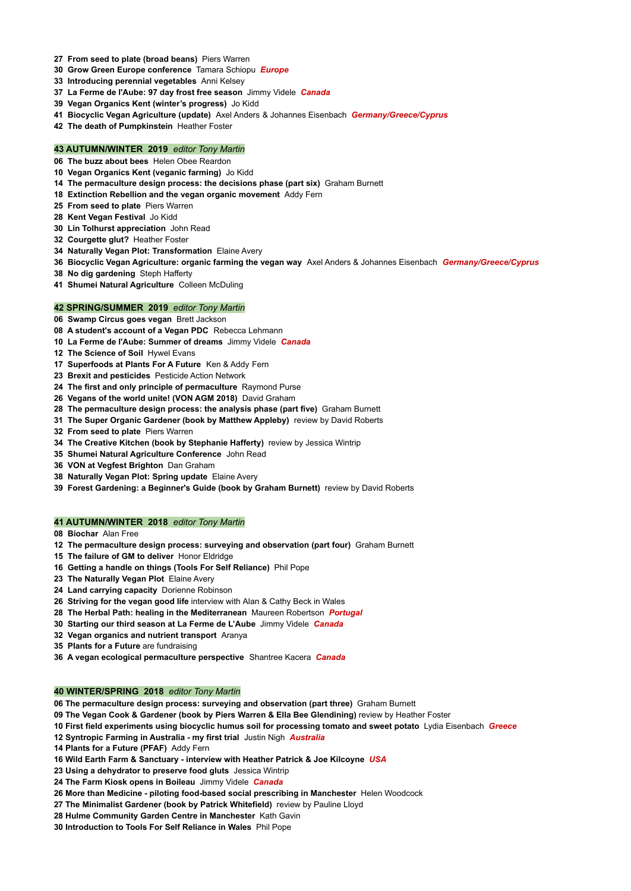- **From seed to plate (broad beans)** Piers Warren
- **Grow Green Europe conference** Tamara Schiopu *Europe*
- **Introducing perennial vegetables** Anni Kelsey
- **La Ferme de l'Aube: 97 day frost free season** Jimmy Videle *Canada*
- **Vegan Organics Kent (winter's progress)** Jo Kidd
- **Biocyclic Vegan Agriculture (update)** Axel Anders & Johannes Eisenbach *Germany/Greece/Cyprus*
- **The death of Pumpkinstein** Heather Foster

# **43 AUTUMN/WINTER 2019** *editor Tony Martin*

- **The buzz about bees** Helen Obee Reardon
- **Vegan Organics Kent (veganic farming)** Jo Kidd
- **The permaculture design process: the decisions phase (part six)** Graham Burnett
- **Extinction Rebellion and the vegan organic movement** Addy Fern
- **From seed to plate** Piers Warren
- **Kent Vegan Festival** Jo Kidd
- **Lin Tolhurst appreciation** John Read
- **Courgette glut?** Heather Foster
- **Naturally Vegan Plot: Transformation** Elaine Avery
- **Biocyclic Vegan Agriculture: organic farming the vegan way** Axel Anders & Johannes Eisenbach *Germany/Greece/Cyprus*
- **No dig gardening** Steph Hafferty
- **Shumei Natural Agriculture** Colleen McDuling

# **42 SPRING/SUMMER 2019** *editor Tony Martin*

- **Swamp Circus goes vegan** Brett Jackson
- **A student's account of a Vegan PDC** Rebecca Lehmann
- **La Ferme de l'Aube: Summer of dreams** Jimmy Videle *Canada*
- **The Science of Soil** Hywel Evans
- **Superfoods at Plants For A Future** Ken & Addy Fern
- **Brexit and pesticides** Pesticide Action Network
- **The first and only principle of permaculture** Raymond Purse
- **Vegans of the world unite! (VON AGM 2018)** David Graham
- **The permaculture design process: the analysis phase (part five)** Graham Burnett
- **The Super Organic Gardener (book by Matthew Appleby)** review by David Roberts
- **From seed to plate** Piers Warren
- **The Creative Kitchen (book by Stephanie Hafferty)** review by Jessica Wintrip
- **Shumei Natural Agriculture Conference** John Read
- **VON at Vegfest Brighton** Dan Graham
- **Naturally Vegan Plot: Spring update** Elaine Avery
- **Forest Gardening: a Beginner's Guide (book by Graham Burnett)** review by David Roberts

# **41 AUTUMN/WINTER 2018** *editor Tony Martin*

- **Biochar** Alan Free
- **The permaculture design process: surveying and observation (part four)** Graham Burnett
- **The failure of GM to deliver** Honor Eldridge
- **Getting a handle on things (Tools For Self Reliance)** Phil Pope
- **The Naturally Vegan Plot** Elaine Avery
- **Land carrying capacity** Dorienne Robinson
- **Striving for the vegan good life** interview with Alan & Cathy Beck in Wales
- **The Herbal Path: healing in the Mediterranean** Maureen Robertson *Portugal*
- **Starting our third season at La Ferme de L'Aube** Jimmy Videle *Canada*
- **Vegan organics and nutrient transport** Aranya
- **Plants for a Future** are fundraising
- **A vegan ecological permaculture perspective** Shantree Kacera *Canada*

# **40 WINTER/SPRING 2018** *editor Tony Martin*

**The permaculture design process: surveying and observation (part three)** Graham Burnett

**The Vegan Cook & Gardener (book by Piers Warren & Ella Bee Glendining)** review by Heather Foster

**First field experiments using biocyclic humus soil for processing tomato and sweet potato** Lydia Eisenbach *Greece*

**Syntropic Farming in Australia - my first trial** Justin Nigh *Australia*

**Plants for a Future (PFAF)** Addy Fern

**Wild Earth Farm & Sanctuary - interview with Heather Patrick & Joe Kilcoyne** *USA*

**Using a dehydrator to preserve food gluts** Jessica Wintrip

**The Farm Kiosk opens in Boileau** Jimmy Videle *Canada*

**More than Medicine - piloting food-based social prescribing in Manchester** Helen Woodcock

**The Minimalist Gardener (book by Patrick Whitefield)** review by Pauline Lloyd

**Hulme Community Garden Centre in Manchester** Kath Gavin

**Introduction to Tools For Self Reliance in Wales** Phil Pope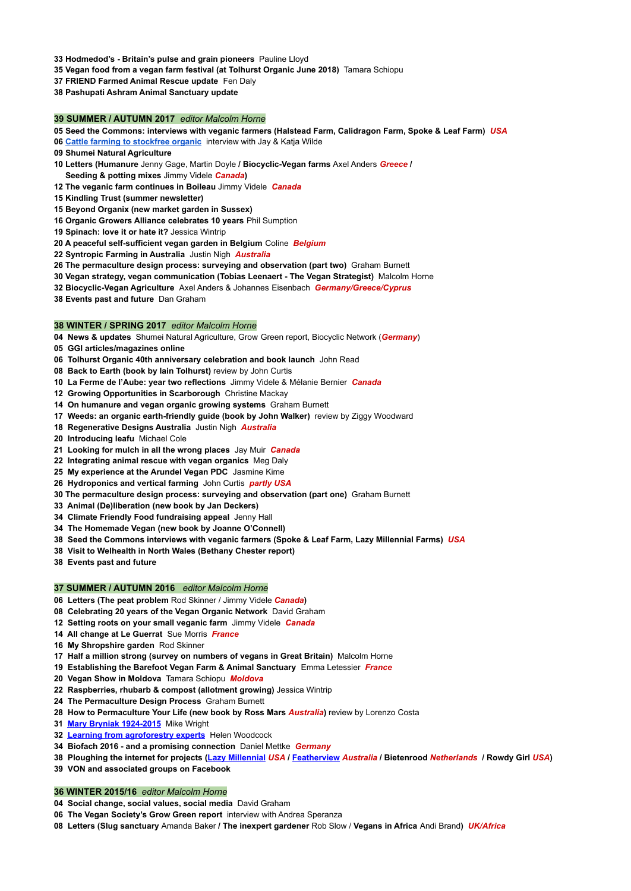- **Hodmedod's - Britain's pulse and grain pioneers** Pauline Lloyd
- **Vegan food from a vegan farm festival (at Tolhurst Organic June 2018)** Tamara Schiopu
- **FRIEND Farmed Animal Rescue update** Fen Daly
- **Pashupati Ashram Animal Sanctuary update**

## **39 SUMMER / AUTUMN 2017** *editor Malcolm Horne*

- 05 Seed the Commons: interviews with veganic farmers (Halstead Farm, Calidragon Farm, Spoke & Leaf Farm) USA
- **Cattle farming to [stockfree](http://veganorganic.net/wp-content/uploads/Bradley-Nook-interview.pdf) organic** interview with Jay & Katja Wilde
- **Shumei Natural Agriculture**
- **Letters (Humanure** Jenny Gage, Martin Doyle **/ Biocyclic-Vegan farms** Axel Anders *Greece* **/**
- **Seeding & potting mixes** Jimmy Videle *Canada***)**
- **The veganic farm continues in Boileau** Jimmy Videle *Canada*
- **Kindling Trust (summer newsletter)**
- **Beyond Organix (new market garden in Sussex)**
- **Organic Growers Alliance celebrates 10 years** Phil Sumption
- **Spinach: love it or hate it?** Jessica Wintrip
- **A peaceful self-sufficient vegan garden in Belgium** Coline *Belgium*
- **Syntropic Farming in Australia** Justin Nigh *Australia*
- **The permaculture design process: surveying and observation (part two)** Graham Burnett
- **Vegan strategy, vegan communication (Tobias Leenaert - The Vegan Strategist)** Malcolm Horne
- **Biocyclic-Vegan Agriculture** Axel Anders & Johannes Eisenbach *Germany/Greece/Cyprus*
- **Events past and future** Dan Graham

## **38 WINTER / SPRING 2017** *editor Malcolm Horne*

- **News & updates** Shumei Natural Agriculture, Grow Green report, Biocyclic Network (*Germany*)
- **GGI articles/magazines online**
- **Tolhurst Organic 40th anniversary celebration and book launch** John Read
- **Back to Earth (book by Iain Tolhurst)** review by John Curtis
- **La Ferme de l'Aube: year two reflections** Jimmy Videle & Mélanie Bernier *Canada*
- **Growing Opportunities in Scarborough** Christine Mackay
- **On humanure and vegan organic growing systems** Graham Burnett
- **Weeds: an organic earth-friendly guide (book by John Walker)** review by Ziggy Woodward
- **Regenerative Designs Australia** Justin Nigh *Australia*
- **Introducing leafu** Michael Cole
- **Looking for mulch in all the wrong places** Jay Muir *Canada*
- **Integrating animal rescue with vegan organics** Meg Daly
- **My experience at the Arundel Vegan PDC** Jasmine Kime
- **Hydroponics and vertical farming** John Curtis *partly USA*
- **The permaculture design process: surveying and observation (part one)** Graham Burnett
- **Animal (De)liberation (new book by Jan Deckers)**
- **Climate Friendly Food fundraising appeal** Jenny Hall
- **The Homemade Vegan (new book by Joanne O'Connell)**
- **Seed the Commons interviews with veganic farmers (Spoke & Leaf Farm, Lazy Millennial Farms)** *USA*
- **Visit to Welhealth in North Wales (Bethany Chester report)**
- **Events past and future**

# **37 SUMMER / AUTUMN 2016** *editor Malcolm Horne*

- **Letters (The peat problem** Rod Skinner / Jimmy Videle *Canada***)**
- **Celebrating 20 years of the Vegan Organic Network** David Graham
- **Setting roots on your small veganic farm** Jimmy Videle *Canada*
- **All change at Le Guerrat** Sue Morris *France*
- **My Shropshire garden** Rod Skinner
- **Half a million strong (survey on numbers of vegans in Great Britain)** Malcolm Horne
- **Establishing the Barefoot Vegan Farm & Animal Sanctuary** Emma Letessier *France*
- **Vegan Show in Moldova** Tamara Schiopu *Moldova*
- **Raspberries, rhubarb & compost (allotment growing)** Jessica Wintrip
- **The Permaculture Design Process** Graham Burnett
- **How to Permaculture Your Life (new book by Ross Mars** *Australia***)** review by Lorenzo Costa
- **Mary Bryniak [1924-2015](http://veganorganic.net/mary-bryniak-obituary/)** Mike Wright
- **Learning from [agroforestry](http://veganorganic.net/learning-from-agroforestry-experts/) experts** Helen Woodcock
- **Biofach 2016 - and a promising connection** Daniel Mettke *Germany*
- 38 Ploughing the internet for projects (Lazy [Millennial](http://veganorganic.net/lazy-millennial-farm/) USA / [Featherview](http://veganorganic.net/featherview-banana-farm/) Australia / Bietenrood Netherlands / Rowdy Girl USA)
- **VON and associated groups on Facebook**

# **36 WINTER 2015/16** *editor Malcolm Horne*

- **Social change, social values, social media** David Graham
- **The Vegan Society's Grow Green report** interview with Andrea Speranza
- **Letters (Slug sanctuary** Amanda Baker **/ The inexpert gardener** Rob Slow / **Vegans in Africa** Andi Brand**)** *UK/Africa*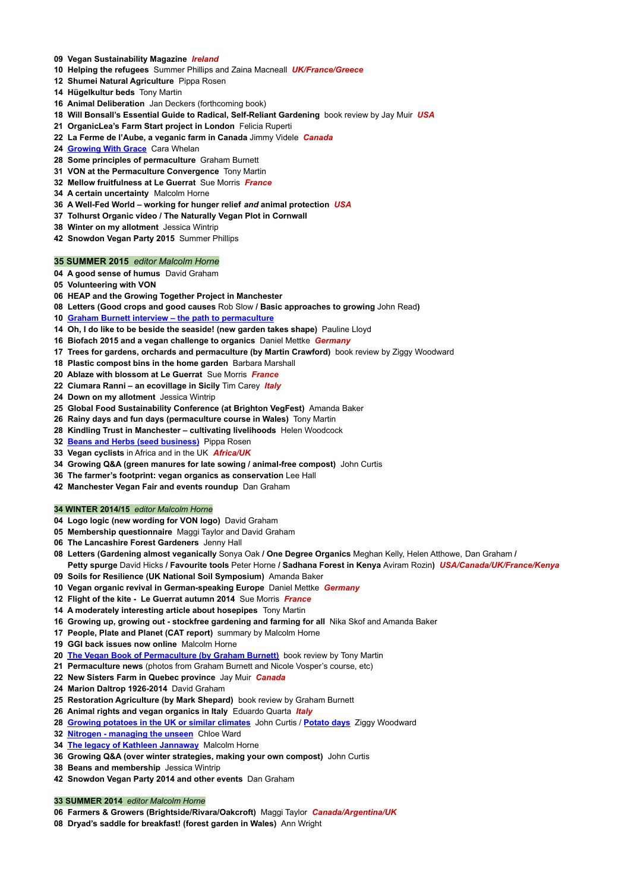- **Vegan Sustainability Magazine** *Ireland*
- **Helping the refugees** Summer Phillips and Zaina Macneall *UK/France/Greece*
- **Shumei Natural Agriculture** Pippa Rosen
- **Hügelkultur beds** Tony Martin
- **Animal Deliberation** Jan Deckers (forthcoming book)
- **Will Bonsall's Essential Guide to Radical, Self-Reliant Gardening** book review by Jay Muir *USA*
- **OrganicLea's Farm Start project in London** Felicia Ruperti
- **La Ferme de l'Aube, a veganic farm in Canada** Jimmy Videle *Canada*
- **[Growing](http://veganorganic.net/growing-with-grace-fertile-soil/) With Grace** Cara Whelan
- **Some principles of permaculture** Graham Burnett
- **VON at the Permaculture Convergence** Tony Martin
- **Mellow fruitfulness at Le Guerrat** Sue Morris *France*
- **A certain uncertainty** Malcolm Horne
- **A Well-Fed World – working for hunger relief** *and* **animal protection** *USA*
- **Tolhurst Organic video / The Naturally Vegan Plot in Cornwall**
- **Winter on my allotment** Jessica Wintrip
- **Snowdon Vegan Party 2015** Summer Phillips

## **35 SUMMER 2015** *editor Malcolm Horne*

- **A good sense of humus** David Graham
- **Volunteering with VON**
- **HEAP and the Growing Together Project in Manchester**
- **Letters (Good crops and good causes** Rob Slow **/ Basic approaches to growing** John Read**)**
- **Graham Burnett interview – the path to [permaculture](http://veganorganic.net/graham-burnett-interview/)**
- **Oh, I do like to be beside the seaside! (new garden takes shape)** Pauline Lloyd
- **Biofach 2015 and a vegan challenge to organics** Daniel Mettke *Germany*
- **Trees for gardens, orchards and permaculture (by Martin Crawford)** book review by Ziggy Woodward
- **Plastic compost bins in the home garden** Barbara Marshall
- **Ablaze with blossom at Le Guerrat** Sue Morris *France*
- **Ciumara Ranni – an ecovillage in Sicily** Tim Carey *Italy*
- **Down on my allotment** Jessica Wintrip
- **Global Food Sustainability Conference (at Brighton VegFest)** Amanda Baker
- **Rainy days and fun days (permaculture course in Wales)** Tony Martin
- **Kindling Trust in Manchester – cultivating livelihoods** Helen Woodcock
- **Beans and Herbs (seed [business\)](http://veganorganic.net/beans-and-herbs-at-herbary/)** Pippa Rosen
- **Vegan cyclists** in Africa and in the UK *Africa/UK*
- **Growing Q&A (green manures for late sowing / animal-free compost)** John Curtis
- **The farmer's footprint: vegan organics as conservation** Lee Hall
- **Manchester Vegan Fair and events roundup** Dan Graham

## **WINTER 2014/15** *editor Malcolm Horne*

- **Logo logic (new wording for VON logo)** David Graham
- **Membership questionnaire** Maggi Taylor and David Graham
- **The Lancashire Forest Gardeners** Jenny Hall
- **Letters (Gardening almost veganically** Sonya Oak **/ One Degree Organics** Meghan Kelly, Helen Atthowe, Dan Graham **/ Petty spurge** David Hicks **/ Favourite tools** Peter Horne **/ Sadhana Forest in Kenya** Aviram Rozin**)** *USA/Canada/UK/France/Kenya*
- **Soils for Resilience (UK National Soil Symposium)** Amanda Baker
- **Vegan organic revival in German-speaking Europe** Daniel Mettke *Germany*
- **Flight of the kite - Le Guerrat autumn 2014** Sue Morris *France*
- **A moderately interesting article about hosepipes** Tony Martin
- **Growing up, growing out - stockfree gardening and farming for all** Nika Skof and Amanda Baker
- **People, Plate and Planet (CAT report)** summary by Malcolm Horne
- **GGI back issues now online** Malcolm Horne
- **The Vegan Book of [Permaculture](http://veganorganic.net/book-review-vegan-book-of-permaculture/) (by Graham Burnett)** book review by Tony Martin
- **Permaculture news** (photos from Graham Burnett and Nicole Vosper's course, etc)
- **New Sisters Farm in Quebec province** Jay Muir *Canada*
- **Marion Daltrop 1926-2014** David Graham
- **Restoration Agriculture (by Mark Shepard)** book review by Graham Burnett
- **Animal rights and vegan organics in Italy** Eduardo Quarta *Italy*
- **Growing [potatoes](http://veganorganic.net/growing-potatoes-in-uk/) in the UK or similar climates** John Curtis / **[Potato](http://veganorganic.net/potato-days/) days** Ziggy Woodward
- **Nitrogen - [managing](http://veganorganic.net/nitrogen-managing-the-unseen/) the unseen** Chloe Ward
- **The legacy of Kathleen [Jannaway](http://veganorganic.net/legacy-of-kathleen-jannaway/)** Malcolm Horne
- **Growing Q&A (over winter strategies, making your own compost)** John Curtis
- **Beans and membership** Jessica Wintrip
- **Snowdon Vegan Party 2014 and other events** Dan Graham

# **SUMMER 2014** *editor Malcolm Horne*

**Farmers & Growers (Brightside/Rivara/Oakcroft)** Maggi Taylor *Canada/Argentina/UK*

**Dryad's saddle for breakfast! (forest garden in Wales)** Ann Wright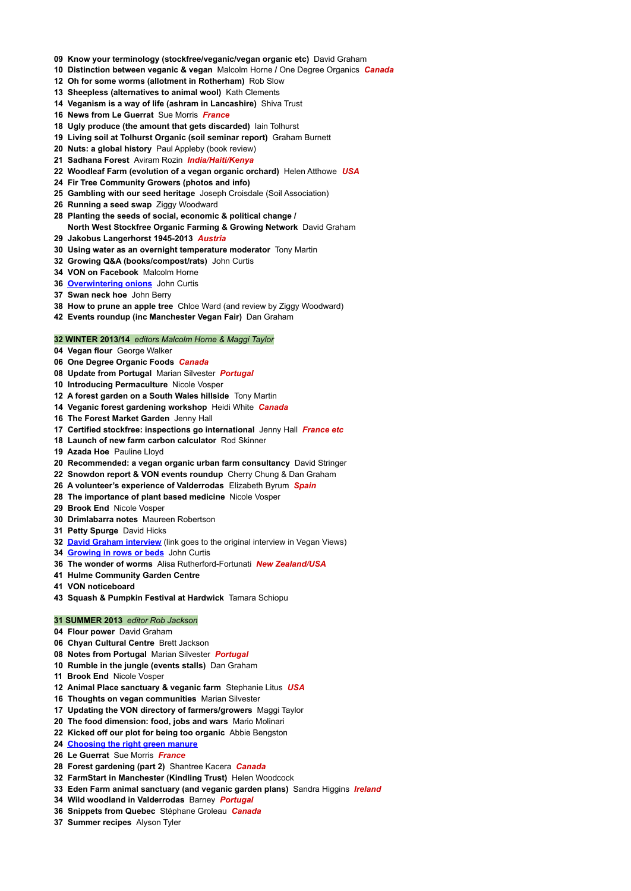- **Know your terminology (stockfree/veganic/vegan organic etc)** David Graham
- **Distinction between veganic & vegan** Malcolm Horne **/** One Degree Organics *Canada*
- **Oh for some worms (allotment in Rotherham)** Rob Slow
- **Sheepless (alternatives to animal wool)** Kath Clements
- **Veganism is a way of life (ashram in Lancashire)** Shiva Trust
- **News from Le Guerrat** Sue Morris *France*
- **Ugly produce (the amount that gets discarded)** Iain Tolhurst
- **Living soil at Tolhurst Organic (soil seminar report)** Graham Burnett
- **Nuts: a global history** Paul Appleby (book review)
- **Sadhana Forest** Aviram Rozin *India/Haiti/Kenya*
- **Woodleaf Farm (evolution of a vegan organic orchard)** Helen Atthowe *USA*
- **Fir Tree Community Growers (photos and info)**
- **Gambling with our seed heritage** Joseph Croisdale (Soil Association)
- **Running a seed swap** Ziggy Woodward
- **Planting the seeds of social, economic & political change / North West Stockfree Organic Farming & Growing Network** David Graham
- **Jakobus Langerhorst 1945-2013** *Austria*
- **Using water as an overnight temperature moderator** Tony Martin
- **Growing Q&A (books/compost/rats)** John Curtis
- **VON on Facebook** Malcolm Horne
- **[Overwintering](http://veganorganic.net/overwintering-onions/) onions** John Curtis
- **Swan neck hoe** John Berry
- **How to prune an apple tree** Chloe Ward (and review by Ziggy Woodward)
- **Events roundup (inc Manchester Vegan Fair)** Dan Graham

## **WINTER 2013/14** *editors Malcolm Horne & Maggi Taylor*

- **Vegan flour** George Walker
- **One Degree Organic Foods** *Canada*
- **Update from Portugal** Marian Silvester *Portugal*
- **Introducing Permaculture** Nicole Vosper
- **A forest garden on a South Wales hillside** Tony Martin
- **Veganic forest gardening workshop** Heidi White *Canada*
- **The Forest Market Garden** Jenny Hall
- **Certified stockfree: inspections go international** Jenny Hall *France etc*
- **Launch of new farm carbon calculator** Rod Skinner
- **Azada Hoe** Pauline Lloyd
- **Recommended: a vegan organic urban farm consultancy** David Stringer
- **Snowdon report & VON events roundup** Cherry Chung & Dan Graham
- **A volunteer's experience of Valderrodas** Elizabeth Byrum *Spain*
- **The importance of plant based medicine** Nicole Vosper
- **Brook End** Nicole Vosper
- **Drimlabarra notes** Maureen Robertson
- **Petty Spurge** David Hicks
- **David Graham [interview](http://www.veganviews.org.uk/123-davidgraham-interview.pdf)** (link goes to the original interview in Vegan Views)
- **[Growing](http://veganorganic.net/growing-in-rows-or-beds/) in rows or beds** John Curtis
- **The wonder of worms** Alisa Rutherford-Fortunati *New Zealand/USA*
- **Hulme Community Garden Centre**
- **VON noticeboard**
- **Squash & Pumpkin Festival at Hardwick** Tamara Schiopu

## **SUMMER 2013** *editor Rob Jackson*

- **Flour power** David Graham
- **Chyan Cultural Centre** Brett Jackson
- **Notes from Portugal** Marian Silvester *Portugal*
- **Rumble in the jungle (events stalls)** Dan Graham
- 

**Brook End** Nicole Vosper

- **Animal Place sanctuary & veganic farm** Stephanie Litus *USA*
- **Thoughts on vegan communities** Marian Silvester
- **Updating the VON directory of farmers/growers** Maggi Taylor
- **The food dimension: food, jobs and wars** Mario Molinari
- **Kicked off our plot for being too organic** Abbie Bengston
- **[Choosing](http://veganorganic.net/choosing-the-right-green-manure/) the right green manure**
- **Le Guerrat** Sue Morris *France*
- **Forest gardening (part 2)** Shantree Kacera *Canada*
- **FarmStart in Manchester (Kindling Trust)** Helen Woodcock
- **Eden Farm animal sanctuary (and veganic garden plans)** Sandra Higgins *Ireland*
- **Wild woodland in Valderrodas** Barney *Portugal*
- **Snippets from Quebec** Stéphane Groleau *Canada*
- **Summer recipes** Alyson Tyler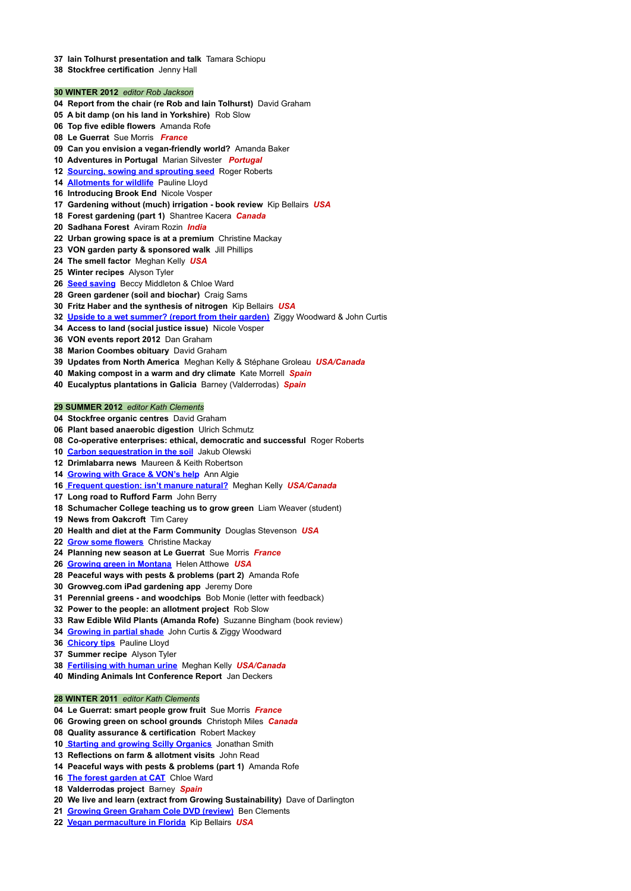- **Iain Tolhurst presentation and talk** Tamara Schiopu
- **Stockfree certification** Jenny Hall

## **WINTER 2012** *editor Rob Jackson*

- **Report from the chair (re Rob and Iain Tolhurst)** David Graham
- **A bit damp (on his land in Yorkshire)** Rob Slow
- **Top five edible flowers** Amanda Rofe
- **Le Guerrat** Sue Morris *France*
- **Can you envision a vegan-friendly world?** Amanda Baker
- **Adventures in Portugal** Marian Silvester *Portugal*
- **[Sourcing,](http://veganorganic.net/sourcing-sowing-sprouting-seed/) sowing and sprouting seed** Roger Roberts
- **[Allotments](http://veganorganic.net/allotments-for-wildlife/) for wildlife** Pauline Lloyd
- **Introducing Brook End** Nicole Vosper
- **Gardening without (much) irrigation - book review** Kip Bellairs *USA*
- **Forest gardening (part 1)** Shantree Kacera *Canada*
- **Sadhana Forest** Aviram Rozin *India*
- **Urban growing space is at a premium** Christine Mackay
- **VON garden party & sponsored walk** Jill Phillips
- **The smell factor** Meghan Kelly *USA*
- **Winter recipes** Alyson Tyler
- **Seed [saving](http://veganorganic.net/seed-saving/)** Beccy Middleton & Chloe Ward
- **Green gardener (soil and biochar)** Craig Sams
- **Fritz Haber and the synthesis of nitrogen** Kip Bellairs *USA*
- **Upside to a wet [summer?](http://veganorganic.net/upside-to-wet-cloudy-summer/) (report from their garden)** Ziggy Woodward & John Curtis
- **Access to land (social justice issue)** Nicole Vosper
- **VON events report 2012** Dan Graham
- **Marion Coombes obituary** David Graham
- **Updates from North America** Meghan Kelly & Stéphane Groleau *USA/Canada*
- **Making compost in a warm and dry climate** Kate Morrell *Spain*
- **Eucalyptus plantations in Galicia** Barney (Valderrodas) *Spain*

#### **SUMMER 2012** *editor Kath Clements*

- **Stockfree organic centres** David Graham
- **Plant based anaerobic digestion** Ulrich Schmutz
- **Co-operative enterprises: ethical, democratic and successful** Roger Roberts
- **Carbon [sequestration](http://veganorganic.net/carbon-sequestration-in-soil/) in the soil** Jakub Olewski
- **Drimlabarra news** Maureen & Keith Robertson
- **[Growing](http://veganorganic.net/growing-with-grace-challenges/) with Grace & VON's help** Ann Algie
- **Frequent [question:](http://veganorganic.net/isnt-manure-natural/) isn't manure natural?** Meghan Kelly *USA/Canada*
- **Long road to Rufford Farm** John Berry
- **Schumacher College teaching us to grow green** Liam Weaver (student)
- **News from Oakcroft** Tim Carey
- **Health and diet at the Farm Community** Douglas Stevenson *USA*
- **Grow some [flowers](http://veganorganic.net/grow-some-flowers/)** Christine Mackay
- **Planning new season at Le Guerrat** Sue Morris *France*
- **Growing green in [Montana](http://veganorganic.net/growing-green-in-montana/)** Helen Atthowe *USA*
- **Peaceful ways with pests & problems (part 2)** Amanda Rofe
- **Growveg.com iPad gardening app** Jeremy Dore
- **Perennial greens - and woodchips** Bob Monie (letter with feedback)
- **Power to the people: an allotment project** Rob Slow
- **Raw Edible Wild Plants (Amanda Rofe)** Suzanne Bingham (book review)
- **[Growing](http://veganorganic.net/growing-in-partial-shade/) in partial shade** John Curtis & Ziggy Woodward
- **[Chicory](http://veganorganic.net/growing-chicory-tips/) tips** Pauline Lloyd
- **Summer recipe** Alyson Tyler
- **[Fertilising](http://veganorganic.net/fertilizing-with-human-urine/) with human urine** Meghan Kelly *USA/Canada*

**Minding Animals Int Conference Report** Jan Deckers

## **WINTER 2011** *editor Kath Clements*

- **Le Guerrat: smart people grow fruit** Sue Morris *France*
- **Growing green on school grounds** Christoph Miles *Canada*
- **Quality assurance & certification** Robert Mackey
- **Starting and growing Scilly [Organics](http://veganorganic.net/starting-growing-scilly-organics/)** Jonathan Smith
- **Reflections on farm & allotment visits** John Read
- **Peaceful ways with pests & problems (part 1)** Amanda Rofe
- **The forest [garden](http://veganorganic.net/forest-garden-towards-fruition/) at CAT** Chloe Ward
- **Valderrodas project** Barney *Spain*
- **We live and learn (extract from Growing Sustainability)** Dave of Darlington
- **[Growing](http://veganorganic.net/dvd-review-grow-fruit-veg/) Green Graham Cole DVD (review)** Ben Clements
- **Vegan [permaculture](http://veganorganic.net/vegan-permaculture-sunshine-state-florida/) in Florida** Kip Bellairs *USA*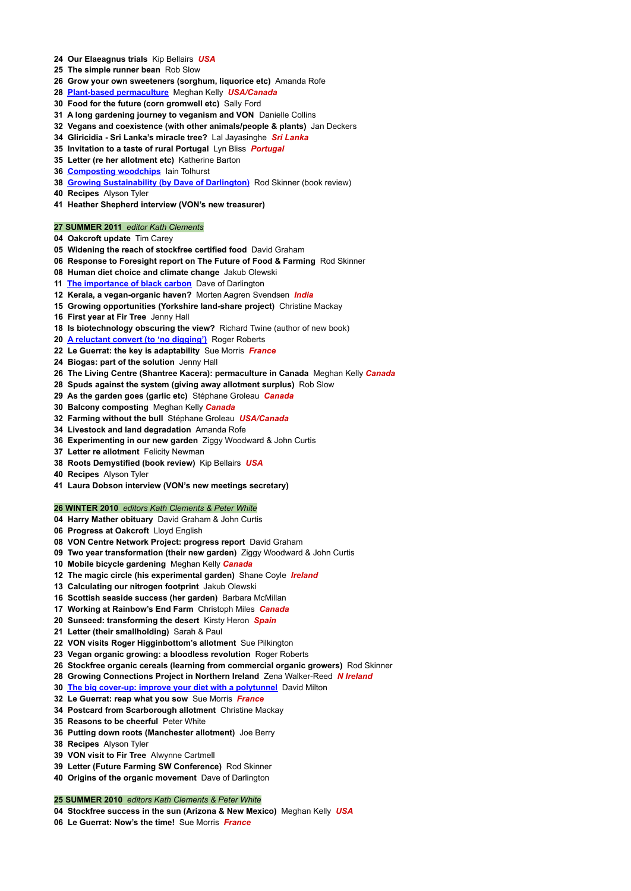- **Our Elaeagnus trials** Kip Bellairs *USA*
- **The simple runner bean** Rob Slow
- **Grow your own sweeteners (sorghum, liquorice etc)** Amanda Rofe
- **Plant-based [permaculture](http://veganorganic.net/plant-based-permaculture/)** Meghan Kelly *USA/Canada*
- **Food for the future (corn gromwell etc)** Sally Ford
- **A long gardening journey to veganism and VON** Danielle Collins
- **Vegans and coexistence (with other animals/people & plants)** Jan Deckers
- **Gliricidia - Sri Lanka's miracle tree?** Lal Jayasinghe *Sri Lanka*
- **Invitation to a taste of rural Portugal** Lyn Bliss *Portugal*
- **Letter (re her allotment etc)** Katherine Barton
- **[Composting](http://veganorganic.net/composting-woodchips/) woodchips** Iain Tolhurst
- **Growing [Sustainability](http://veganorganic.net/book-review-growing-sustainability/) (by Dave of Darlington)** Rod Skinner (book review)
- **Recipes** Alyson Tyler
- **Heather Shepherd interview (VON's new treasurer)**

## **SUMMER 2011** *editor Kath Clements*

- **Oakcroft update** Tim Carey
- **Widening the reach of stockfree certified food** David Graham
- **Response to Foresight report on The Future of Food & Farming** Rod Skinner
- **Human diet choice and climate change** Jakub Olewski
- **The [importance](http://veganorganic.net/importance-of-black-carbon/) of black carbon** Dave of Darlington
- **Kerala, a vegan-organic haven?** Morten Aagren Svendsen *India*
- **Growing opportunities (Yorkshire land-share project)** Christine Mackay
- **First year at Fir Tree** Jenny Hall
- **Is biotechnology obscuring the view?** Richard Twine (author of new book)
- **A [reluctant](http://veganorganic.net/reluctant-convert-to-nodig/) convert (to 'no digging')** Roger Roberts
- **Le Guerrat: the key is adaptability** Sue Morris *France*
- **Biogas: part of the solution** Jenny Hall
- **The Living Centre (Shantree Kacera): permaculture in Canada** Meghan Kelly *Canada*
- **Spuds against the system (giving away allotment surplus)** Rob Slow
- **As the garden goes (garlic etc)** Stéphane Groleau *Canada*
- **Balcony composting** Meghan Kelly *Canada*
- **Farming without the bull** Stéphane Groleau *USA/Canada*
- **Livestock and land degradation** Amanda Rofe
- **Experimenting in our new garden** Ziggy Woodward & John Curtis
- **Letter re allotment** Felicity Newman
- **Roots Demystified (book review)** Kip Bellairs *USA*
- **Recipes** Alyson Tyler
- **Laura Dobson interview (VON's new meetings secretary)**

## **WINTER 2010** *editors Kath Clements & Peter White*

- **Harry Mather obituary** David Graham & John Curtis
- **Progress at Oakcroft** Lloyd English
- **VON Centre Network Project: progress report** David Graham
- **Two year transformation (their new garden)** Ziggy Woodward & John Curtis
- **Mobile bicycle gardening** Meghan Kelly *Canada*
- **The magic circle (his experimental garden)** Shane Coyle *Ireland*
- **Calculating our nitrogen footprint** Jakub Olewski
- **Scottish seaside success (her garden)** Barbara McMillan
- **Working at Rainbow's End Farm** Christoph Miles *Canada*
- **Sunseed: transforming the desert** Kirsty Heron *Spain*
- **Letter (their smallholding)** Sarah & Paul
- **VON visits Roger Higginbottom's allotment** Sue Pilkington
- **Vegan organic growing: a bloodless revolution** Roger Roberts
- **Stockfree organic cereals (learning from commercial organic growers)** Rod Skinner
- - **Growing Connections Project in Northern Ireland** Zena Walker-Reed *N Ireland*
	- **The big cover-up: improve your diet with a [polytunnel](http://veganorganic.net/big-coverup-polytunnel/)** David Milton
	- **Le Guerrat: reap what you sow** Sue Morris *France*
	- **Postcard from Scarborough allotment** Christine Mackay
	- **Reasons to be cheerful** Peter White
	- **Putting down roots (Manchester allotment)** Joe Berry
	- **Recipes** Alyson Tyler
	- **VON visit to Fir Tree** Alwynne Cartmell
	- **Letter (Future Farming SW Conference)** Rod Skinner
	- **Origins of the organic movement** Dave of Darlington

# **SUMMER 2010** *editors Kath Clements & Peter White*

**Stockfree success in the sun (Arizona & New Mexico)** Meghan Kelly *USA*

**Le Guerrat: Now's the time!** Sue Morris *France*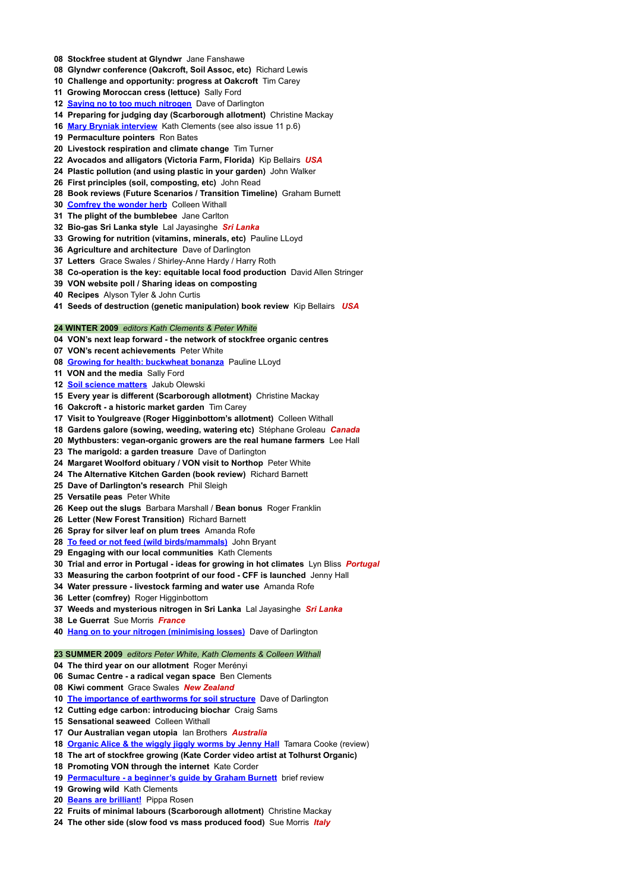- **Stockfree student at Glyndwr** Jane Fanshawe
- **Glyndwr conference (Oakcroft, Soil Assoc, etc)** Richard Lewis
- **Challenge and opportunity: progress at Oakcroft** Tim Carey
- **Growing Moroccan cress (lettuce)** Sally Ford
- **Saying no to too much [nitrogen](http://veganorganic.net/too-much-nitrogen/)** Dave of Darlington
- **Preparing for judging day (Scarborough allotment)** Christine Mackay
- **Mary Bryniak [interview](http://veganorganic.net/mary-bryniak-vegan-organic-pioneer/)** Kath Clements (see also issue 11 p.6)
- **Permaculture pointers** Ron Bates
- **Livestock respiration and climate change** Tim Turner
- **Avocados and alligators (Victoria Farm, Florida)** Kip Bellairs *USA*
- **Plastic pollution (and using plastic in your garden)** John Walker
- **First principles (soil, composting, etc)** John Read
- **Book reviews (Future Scenarios / Transition Timeline)** Graham Burnett
- **[Comfrey](http://veganorganic.net/comfrey-wonder-herb/) the wonder herb** Colleen Withall
- **The plight of the bumblebee** Jane Carlton
- **Bio-gas Sri Lanka style** Lal Jayasinghe *Sri Lanka*
- **Growing for nutrition (vitamins, minerals, etc)** Pauline LLoyd
- **Agriculture and architecture** Dave of Darlington
- **Letters** Grace Swales / Shirley-Anne Hardy / Harry Roth
- **Co-operation is the key: equitable local food production** David Allen Stringer
- **VON website poll / Sharing ideas on composting**
- **Recipes** Alyson Tyler & John Curtis
- **Seeds of destruction (genetic manipulation) book review** Kip Bellairs *USA*

## **WINTER 2009** *editors Kath Clements & Peter White*

- **VON's next leap forward - the network of stockfree organic centres**
- **VON's recent achievements** Peter White
- **Growing for health: [buckwheat](http://veganorganic.net/growing-buckwheat/) bonanza** Pauline LLoyd
- **VON and the media** Sally Ford
- **Soil [science](http://veganorganic.net/soil-science-matters/) matters** Jakub Olewski
- **Every year is different (Scarborough allotment)** Christine Mackay
- **Oakcroft - a historic market garden** Tim Carey
- **Visit to Youlgreave (Roger Higginbottom's allotment)** Colleen Withall
- **Gardens galore (sowing, weeding, watering etc)** Stéphane Groleau *Canada*
- **Mythbusters: vegan-organic growers are the real humane farmers** Lee Hall
- **The marigold: a garden treasure** Dave of Darlington
- **Margaret Woolford obituary / VON visit to Northop** Peter White
- **The Alternative Kitchen Garden (book review)** Richard Barnett
- **Dave of Darlington's research** Phil Sleigh
- **Versatile peas** Peter White
- **Keep out the slugs** Barbara Marshall / **Bean bonus** Roger Franklin
- **Letter (New Forest Transition)** Richard Barnett
- **Spray for silver leaf on plum trees** Amanda Rofe
- **To feed or not feed (wild [birds/mammals\)](http://veganorganic.net/feeding-wildlife-precautions/)** John Bryant
- **Engaging with our local communities** Kath Clements
- **Trial and error in Portugal - ideas for growing in hot climates** Lyn Bliss *Portugal*
- **Measuring the carbon footprint of our food - CFF is launched** Jenny Hall
- **Water pressure - livestock farming and water use** Amanda Rofe
- **Letter (comfrey)** Roger Higginbottom
- **Weeds and mysterious nitrogen in Sri Lanka** Lal Jayasinghe *Sri Lanka*
- **Le Guerrat** Sue Morris *France*
- **Hang on to your nitrogen [\(minimising](http://veganorganic.net/hang-on-to-your-nitrogen/) losses)** Dave of Darlington

# **SUMMER 2009** *editors Peter White, Kath Clements & Colleen Withall*

- **The third year on our allotment** Roger Merényi
- **Sumac Centre - a radical vegan space** Ben Clements
- **Kiwi comment** Grace Swales *New Zealand*
- **The importance of [earthworms](http://veganorganic.net/importance-of-earthworms/) for soil structure** Dave of Darlington
- **Cutting edge carbon: introducing biochar** Craig Sams
- **Sensational seaweed** Colleen Withall
- **Our Australian vegan utopia** Ian Brothers *Australia*
- **[Organic](http://veganorganic.net/book-review-organic-alice/) Alice & the wiggly jiggly worms by Jenny Hall** Tamara Cooke (review)
- **The art of stockfree growing (Kate Corder video artist at Tolhurst Organic)**
- **Promoting VON through the internet** Kate Corder
- **[Permaculture](http://veganorganic.net/book-review-premaculture-beginners-guide/) - a beginner's guide by Graham Burnett** brief review
- **Growing wild** Kath Clements
- **Beans are [brilliant!](http://veganorganic.net/beans-are-brilliant/)** Pippa Rosen
- **Fruits of minimal labours (Scarborough allotment)** Christine Mackay
- **The other side (slow food vs mass produced food)** Sue Morris *Italy*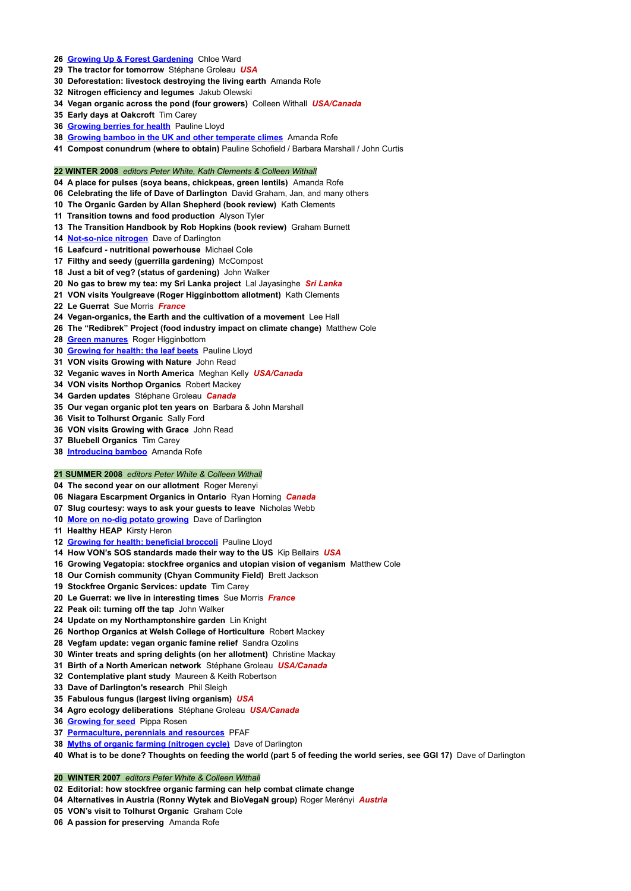## **Growing Up & Forest [Gardening](http://veganorganic.net/growing-up-forest-gardening/)** Chloe Ward

- **The tractor for tomorrow** Stéphane Groleau *USA*
- **Deforestation: livestock destroying the living earth** Amanda Rofe
- **Nitrogen efficiency and legumes** Jakub Olewski
- **Vegan organic across the pond (four growers)** Colleen Withall *USA/Canada*
- **Early days at Oakcroft** Tim Carey
- **[Growing](http://veganorganic.net/growing-berries/) berries for health** Pauline Lloyd
- **Growing bamboo in the UK and other [temperate](http://veganorganic.net/growing-bamboo-uk/) climes** Amanda Rofe
- **Compost conundrum (where to obtain)** Pauline Schofield / Barbara Marshall / John Curtis

## **WINTER 2008** *editors Peter White, Kath Clements & Colleen Withall*

- **A place for pulses (soya beans, chickpeas, green lentils)** Amanda Rofe
- **Celebrating the life of Dave of Darlington** David Graham, Jan, and many others
- **The Organic Garden by Allan Shepherd (book review)** Kath Clements
- **Transition towns and food production** Alyson Tyler
- **The Transition Handbook by Rob Hopkins (book review)** Graham Burnett
- **[Not-so-nice](http://veganorganic.net/not-so-nice-nitrogen/) nitrogen** Dave of Darlington
- **Leafcurd - nutritional powerhouse** Michael Cole
- **Filthy and seedy (guerrilla gardening)** McCompost
- **Just a bit of veg? (status of gardening)** John Walker
- **No gas to brew my tea: my Sri Lanka project** Lal Jayasinghe *Sri Lanka*
- **VON visits Youlgreave (Roger Higginbottom allotment)** Kath Clements
- **Le Guerrat** Sue Morris *France*
- **Vegan-organics, the Earth and the cultivation of a movement** Lee Hall
- **The "Redibrek" Project (food industry impact on climate change)** Matthew Cole
- **Green [manures](http://veganorganic.net/green-manures/)** Roger Higginbottom
- **[Growing](http://veganorganic.net/growing-leaf-beets/) for health: the leaf beets** Pauline Lloyd
- **VON visits Growing with Nature** John Read
- **Veganic waves in North America** Meghan Kelly *USA/Canada*
- **VON visits Northop Organics** Robert Mackey
- **Garden updates** Stéphane Groleau *Canada*
- **Our vegan organic plot ten years on** Barbara & John Marshall
- **Visit to Tolhurst Organic** Sally Ford
- **VON visits Growing with Grace** John Read
- **Bluebell Organics** Tim Carey
- **[Introducing](http://veganorganic.net/introducing-bamboo/) bamboo** Amanda Rofe

## **SUMMER 2008** *editors Peter White & Colleen Withall*

- **The second year on our allotment** Roger Merenyi
- **Niagara Escarpment Organics in Ontario** Ryan Horning *Canada*
- **Slug courtesy: ways to ask your guests to leave** Nicholas Webb
- **More on no-dig potato [growing](http://veganorganic.net/no-dig-potato-growing/)** Dave of Darlington
- **Healthy HEAP** Kirsty Heron
- **Growing for health: [beneficial](http://veganorganic.net/growing-broccoli/) broccoli** Pauline Lloyd
- **How VON's SOS standards made their way to the US** Kip Bellairs *USA*
- **Growing Vegatopia: stockfree organics and utopian vision of veganism** Matthew Cole
- **Our Cornish community (Chyan Community Field)** Brett Jackson
- **Stockfree Organic Services: update** Tim Carey
- **Le Guerrat: we live in interesting times** Sue Morris *France*
- **Peak oil: turning off the tap** John Walker
- **Update on my Northamptonshire garden** Lin Knight
- **Northop Organics at Welsh College of Horticulture** Robert Mackey
- **Vegfam update: vegan organic famine relief** Sandra Ozolins
- **Winter treats and spring delights (on her allotment)** Christine Mackay
- **Birth of a North American network** Stéphane Groleau *USA/Canada*
- **Contemplative plant study** Maureen & Keith Robertson
- **Dave of Darlington's research** Phil Sleigh
- **Fabulous fungus (largest living organism)** *USA*
- **Agro ecology deliberations** Stéphane Groleau *USA/Canada*
- **[Growing](http://veganorganic.net/growing-for-seed/) for seed** Pippa Rosen
- **[Permaculture,](http://veganorganic.net/permaculture-perennials-resources/) perennials and resources** PFAF
- **Myths of organic farming [\(nitrogen](http://veganorganic.net/myths-of-organic-farming/) cycle)** Dave of Darlington

40 What is to be done? Thoughts on feeding the world (part 5 of feeding the world series, see GGI 17) Dave of Darlington

**WINTER 2007** *editors Peter White & Colleen Withall*

**Editorial: how stockfree organic farming can help combat climate change**

**Alternatives in Austria (Ronny Wytek and BioVegaN group)** Roger Merényi *Austria*

**VON's visit to Tolhurst Organic** Graham Cole

**A passion for preserving** Amanda Rofe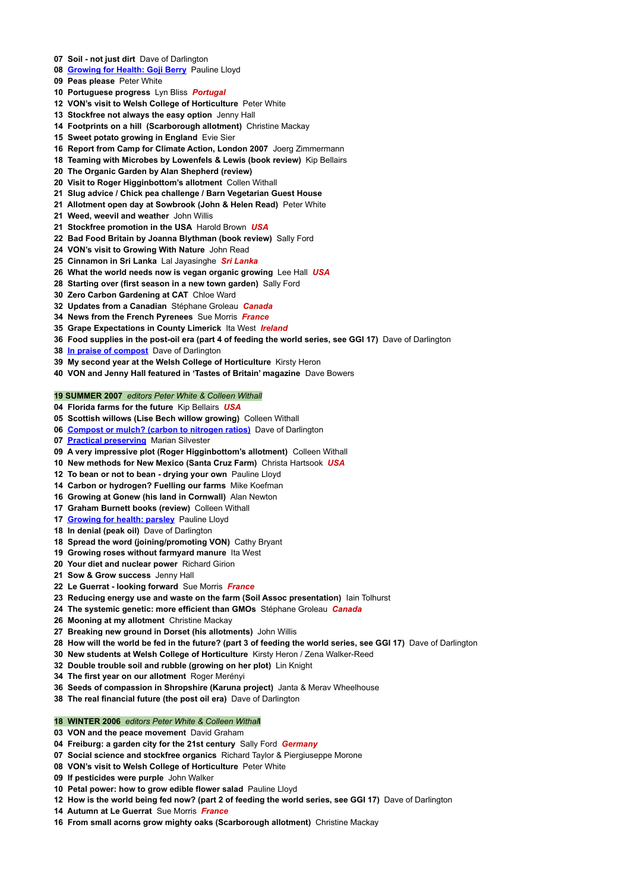- **Soil - not just dirt** Dave of Darlington
- **[Growing](http://veganorganic.net/growing-goji-berries/) for Health: Goji Berry** Pauline Lloyd
- **Peas please** Peter White
- **Portuguese progress** Lyn Bliss *Portugal*
- **VON's visit to Welsh College of Horticulture** Peter White
- **Stockfree not always the easy option** Jenny Hall
- **Footprints on a hill (Scarborough allotment)** Christine Mackay
- **Sweet potato growing in England** Evie Sier
- **Report from Camp for Climate Action, London 2007** Joerg Zimmermann
- **Teaming with Microbes by Lowenfels & Lewis (book review)** Kip Bellairs
- **The Organic Garden by Alan Shepherd (review)**
- **Visit to Roger Higginbottom's allotment** Collen Withall
- **Slug advice / Chick pea challenge / Barn Vegetarian Guest House**
- **Allotment open day at Sowbrook (John & Helen Read)** Peter White
- **Weed, weevil and weather** John Willis
- **Stockfree promotion in the USA** Harold Brown *USA*
- **Bad Food Britain by Joanna Blythman (book review)** Sally Ford
- **VON's visit to Growing With Nature** John Read
- **Cinnamon in Sri Lanka** Lal Jayasinghe *Sri Lanka*
- **What the world needs now is vegan organic growing** Lee Hall *USA*
- **Starting over (first season in a new town garden)** Sally Ford
- **Zero Carbon Gardening at CAT** Chloe Ward
- **Updates from a Canadian** Stéphane Groleau *Canada*
- **News from the French Pyrenees** Sue Morris *France*
- **Grape Expectations in County Limerick** Ita West *Ireland*
- **Food supplies in the post-oil era (part 4 of feeding the world series, see GGI 17)** Dave of Darlington
- **In praise of [compost](http://veganorganic.net/compost-or-mulch/)** Dave of Darlington
- **My second year at the Welsh College of Horticulture** Kirsty Heron
- **VON and Jenny Hall featured in 'Tastes of Britain' magazine** Dave Bowers

## **SUMMER 2007** *editors Peter White & Colleen Withall*

- **Florida farms for the future** Kip Bellairs *USA*
- **Scottish willows (Lise Bech willow growing)** Colleen Withall
- **[Compost](http://veganorganic.net/compost-or-mulch/) or mulch? (carbon to nitrogen ratios)** Dave of Darlington
- **Practical [preserving](http://veganorganic.net/practical-preserving/)** Marian Silvester
- **A very impressive plot (Roger Higginbottom's allotment)** Colleen Withall
- **New methods for New Mexico (Santa Cruz Farm)** Christa Hartsook *USA*
- **To bean or not to bean - drying your own** Pauline Lloyd
- **Carbon or hydrogen? Fuelling our farms** Mike Koefman
- **Growing at Gonew (his land in Cornwall)** Alan Newton
- **Graham Burnett books (review)** Colleen Withall
- **[Growing](http://veganorganic.net/growing-parsley/) for health: parsley** Pauline Lloyd
- **In denial (peak oil)** Dave of Darlington
- **Spread the word (joining/promoting VON)** Cathy Bryant
- **Growing roses without farmyard manure** Ita West
- **Your diet and nuclear power** Richard Girion
- **Sow & Grow success** Jenny Hall
- **Le Guerrat - looking forward** Sue Morris *France*
- **Reducing energy use and waste on the farm (Soil Assoc presentation)** Iain Tolhurst
- **The systemic genetic: more efficient than GMOs** Stéphane Groleau *Canada*
- **Mooning at my allotment** Christine Mackay
- **Breaking new ground in Dorset (his allotments)** John Willis
- 28 How will the world be fed in the future? (part 3 of feeding the world series, see GGI 17) Dave of Darlington
- **New students at Welsh College of Horticulture** Kirsty Heron / Zena Walker-Reed
- **Double trouble soil and rubble (growing on her plot)** Lin Knight
- 

**The first year on our allotment** Roger Merényi

**Seeds of compassion in Shropshire (Karuna project)** Janta & Merav Wheelhouse

**The real financial future (the post oil era)** Dave of Darlington

## **WINTER 2006** *editors Peter White & Colleen Withal***l**

**VON and the peace movement** David Graham

**Freiburg: a garden city for the 21st century** Sally Ford *Germany*

**Social science and stockfree organics** Richard Taylor & Piergiuseppe Morone

**VON's visit to Welsh College of Horticulture** Peter White

**If pesticides were purple** John Walker

**Petal power: how to grow edible flower salad** Pauline Lloyd

12 How is the world being fed now? (part 2 of feeding the world series, see GGI 17) Dave of Darlington

**Autumn at Le Guerrat** Sue Morris *France*

**From small acorns grow mighty oaks (Scarborough allotment)** Christine Mackay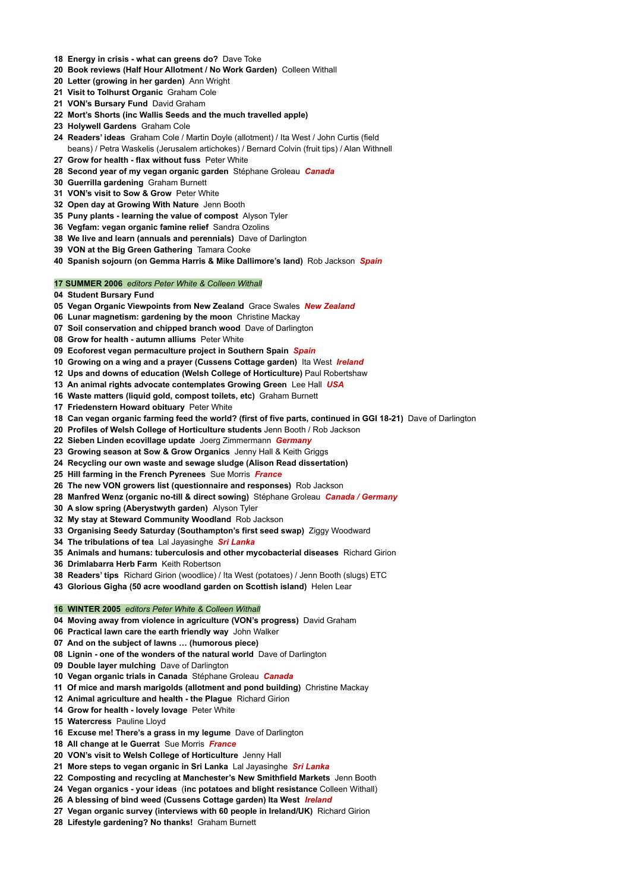- **Energy in crisis - what can greens do?** Dave Toke
- **Book reviews (Half Hour Allotment / No Work Garden)** Colleen Withall
- **Letter (growing in her garden)** Ann Wright
- **Visit to Tolhurst Organic** Graham Cole
- **VON's Bursary Fund** David Graham
- **Mort's Shorts (inc Wallis Seeds and the much travelled apple)**
- **Holywell Gardens** Graham Cole
- **Readers' ideas** Graham Cole / Martin Doyle (allotment) / Ita West / John Curtis (field beans) / Petra Waskelis (Jerusalem artichokes) / Bernard Colvin (fruit tips) / Alan Withnell
- **Grow for health - flax without fuss** Peter White
- **Second year of my vegan organic garden** Stéphane Groleau *Canada*
- **Guerrilla gardening** Graham Burnett
- **VON's visit to Sow & Grow** Peter White
- **Open day at Growing With Nature** Jenn Booth
- **Puny plants - learning the value of compost** Alyson Tyler
- **Vegfam: vegan organic famine relief** Sandra Ozolins
- **We live and learn (annuals and perennials)** Dave of Darlington
- **VON at the Big Green Gathering** Tamara Cooke
- **Spanish sojourn (on Gemma Harris & Mike Dallimore's land)** Rob Jackson *Spain*

## **SUMMER 2006** *editors Peter White & Colleen Withall*

- **Student Bursary Fund**
- **Vegan Organic Viewpoints from New Zealand** Grace Swales *New Zealand*
- **Lunar magnetism: gardening by the moon** Christine Mackay
- **Soil conservation and chipped branch wood** Dave of Darlington
- **Grow for health - autumn alliums** Peter White
- **Ecoforest vegan permaculture project in Southern Spain** *Spain*
- **Growing on a wing and a prayer (Cussens Cottage garden)** Ita West *Ireland*
- **Ups and downs of education (Welsh College of Horticulture)** Paul Robertshaw
- **An animal rights advocate contemplates Growing Green** Lee Hall *USA*
- **Waste matters (liquid gold, compost toilets, etc)** Graham Burnett
- **Friedenstern Howard obituary** Peter White
- **Can vegan organic farming feed the world? (first of five parts, continued in GGI 18-21)** Dave of Darlington
- **Profiles of Welsh College of Horticulture students** Jenn Booth / Rob Jackson
- **Sieben Linden ecovillage update** Joerg Zimmermann *Germany*
- **Growing season at Sow & Grow Organics** Jenny Hall & Keith Griggs
- **Recycling our own waste and sewage sludge (Alison Read dissertation)**
- **Hill farming in the French Pyrenees** Sue Morris *France*
- **The new VON growers list (questionnaire and responses)** Rob Jackson
- **Manfred Wenz (organic no-till & direct sowing)** Stéphane Groleau *Canada / Germany*
- **A slow spring (Aberystwyth garden)** Alyson Tyler
- **My stay at Steward Community Woodland** Rob Jackson
- **Organising Seedy Saturday (Southampton's first seed swap)** Ziggy Woodward
- **The tribulations of tea** Lal Jayasinghe *Sri Lanka*
- **Animals and humans: tuberculosis and other mycobacterial diseases** Richard Girion
- **Drimlabarra Herb Farm** Keith Robertson
- **Readers' tips** Richard Girion (woodlice) / Ita West (potatoes) / Jenn Booth (slugs) ETC
- **Glorious Gigha (50 acre woodland garden on Scottish island)** Helen Lear

# **WINTER 2005** *editors Peter White & Colleen Withall*

- **Moving away from violence in agriculture (VON's progress)** David Graham
- **Practical lawn care the earth friendly way** John Walker
- **And on the subject of lawns … (humorous piece)**
- **Lignin - one of the wonders of the natural world** Dave of Darlington
- **Double layer mulching** Dave of Darlington
- 

**Vegan organic trials in Canada** Stéphane Groleau *Canada*

**Of mice and marsh marigolds (allotment and pond building)** Christine Mackay

**Animal agriculture and health - the Plague** Richard Girion

**Grow for health - lovely lovage** Peter White

**Watercress** Pauline Lloyd

**Excuse me! There's a grass in my legume** Dave of Darlington

**All change at le Guerrat** Sue Morris *France*

- **VON's visit to Welsh College of Horticulture** Jenny Hall
- **More steps to vegan organic in Sri Lanka** Lal Jayasinghe *Sri Lanka*
- **Composting and recycling at Manchester's New Smithfield Markets** Jenn Booth
- **Vegan organics - your ideas** (**inc potatoes and blight resistance** Colleen Withall)
- **A blessing of bind weed (Cussens Cottage garden) Ita West** *Ireland*
- **Vegan organic survey (interviews with 60 people in Ireland/UK)** Richard Girion
- **Lifestyle gardening? No thanks!** Graham Burnett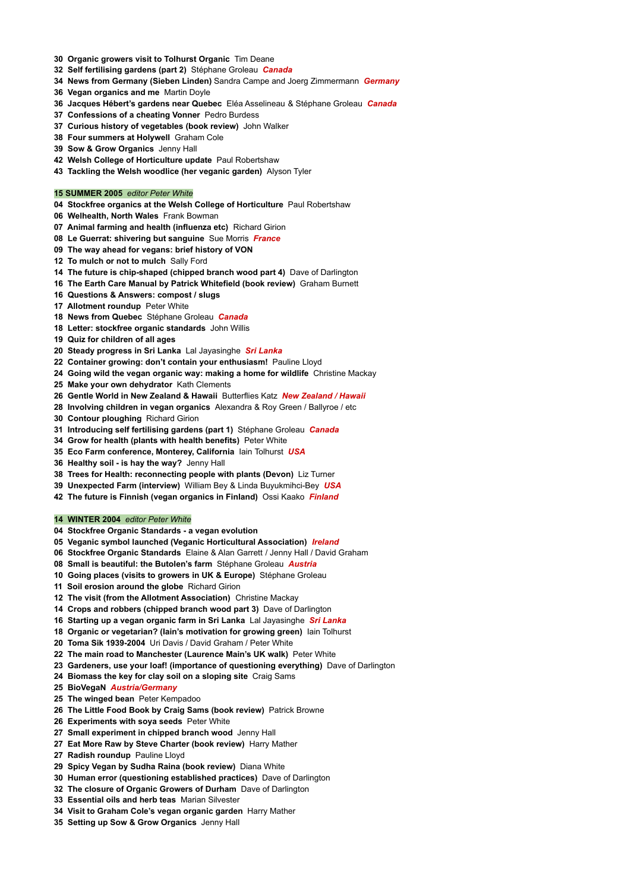- **Organic growers visit to Tolhurst Organic** Tim Deane
- **Self fertilising gardens (part 2)** Stéphane Groleau *Canada*
- **News from Germany (Sieben Linden)** Sandra Campe and Joerg Zimmermann *Germany*
- **Vegan organics and me** Martin Doyle
- **Jacques Hébert's gardens near Quebec** Eléa Asselineau & Stéphane Groleau *Canada*
- **Confessions of a cheating Vonner** Pedro Burdess
- **Curious history of vegetables (book review)** John Walker
- **Four summers at Holywell** Graham Cole
- **Sow & Grow Organics** Jenny Hall
- **Welsh College of Horticulture update** Paul Robertshaw
- **Tackling the Welsh woodlice (her veganic garden)** Alyson Tyler

## **SUMMER 2005** *editor Peter White*

- **Stockfree organics at the Welsh College of Horticulture** Paul Robertshaw
- **Welhealth, North Wales** Frank Bowman
- **Animal farming and health (influenza etc)** Richard Girion
- **Le Guerrat: shivering but sanguine** Sue Morris *France*
- **The way ahead for vegans: brief history of VON**
- **To mulch or not to mulch** Sally Ford
- **The future is chip-shaped (chipped branch wood part 4)** Dave of Darlington
- **The Earth Care Manual by Patrick Whitefield (book review)** Graham Burnett
- **Questions & Answers: compost / slugs**
- **Allotment roundup** Peter White
- **News from Quebec** Stéphane Groleau *Canada*
- **Letter: stockfree organic standards** John Willis
- **Quiz for children of all ages**
- **Steady progress in Sri Lanka** Lal Jayasinghe *Sri Lanka*
- **Container growing: don't contain your enthusiasm!** Pauline Lloyd
- **Going wild the vegan organic way: making a home for wildlife** Christine Mackay
- **Make your own dehydrator** Kath Clements
- **Gentle World in New Zealand & Hawaii** Butterflies Katz *New Zealand / Hawaii*
- **Involving children in vegan organics** Alexandra & Roy Green / Ballyroe / etc
- **Contour ploughing** Richard Girion
- **Introducing self fertilising gardens (part 1)** Stéphane Groleau *Canada*
- **Grow for health (plants with health benefits)** Peter White
- **Eco Farm conference, Monterey, California** Iain Tolhurst *USA*
- **Healthy soil - is hay the way?** Jenny Hall
- **Trees for Health: reconnecting people with plants (Devon)** Liz Turner
- **Unexpected Farm (interview)** William Bey & Linda Buyukmihci-Bey *USA*
- **The future is Finnish (vegan organics in Finland)** Ossi Kaako *Finland*

## **WINTER 2004** *editor Peter White*

- **Stockfree Organic Standards - a vegan evolution**
- **Veganic symbol launched (Veganic Horticultural Association)** *Ireland*
- **Stockfree Organic Standards** Elaine & Alan Garrett / Jenny Hall / David Graham
- **Small is beautiful: the Butolen's farm** Stéphane Groleau *Austria*
- **Going places (visits to growers in UK & Europe)** Stéphane Groleau
- **Soil erosion around the globe** Richard Girion
- **The visit (from the Allotment Association)** Christine Mackay
- **Crops and robbers (chipped branch wood part 3)** Dave of Darlington
- **Starting up a vegan organic farm in Sri Lanka** Lal Jayasinghe *Sri Lanka*
- **Organic or vegetarian? (Iain's motivation for growing green)** Iain Tolhurst
- **Toma Sik 1939-2004** Uri Davis / David Graham / Peter White
- **The main road to Manchester (Laurence Main's UK walk)** Peter White
- **Gardeners, use your loaf! (importance of questioning everything)** Dave of Darlington
- 

**Biomass the key for clay soil on a sloping site** Craig Sams

**BioVegaN** *Austria/Germany*

**The winged bean** Peter Kempadoo

**The Little Food Book by Craig Sams (book review)** Patrick Browne

**Experiments with soya seeds** Peter White

**Small experiment in chipped branch wood** Jenny Hall

**Eat More Raw by Steve Charter (book review)** Harry Mather

**Radish roundup** Pauline Lloyd

**Spicy Vegan by Sudha Raina (book review)** Diana White

**Human error (questioning established practices)** Dave of Darlington

**The closure of Organic Growers of Durham** Dave of Darlington

**Essential oils and herb teas** Marian Silvester

**Visit to Graham Cole's vegan organic garden** Harry Mather

**Setting up Sow & Grow Organics** Jenny Hall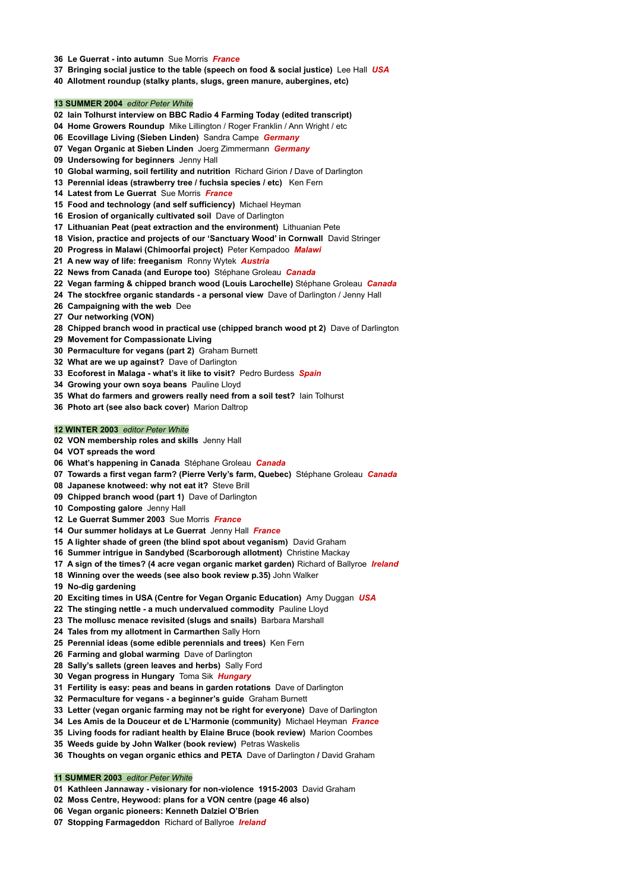- **Le Guerrat - into autumn** Sue Morris *France*
- **Bringing social justice to the table (speech on food & social justice)** Lee Hall *USA*
- **Allotment roundup (stalky plants, slugs, green manure, aubergines, etc)**

## **SUMMER 2004** *editor Peter White*

- **Iain Tolhurst interview on BBC Radio 4 Farming Today (edited transcript)**
- **Home Growers Roundup** Mike Lillington / Roger Franklin / Ann Wright / etc
- **Ecovillage Living (Sieben Linden)** Sandra Campe *Germany*
- **Vegan Organic at Sieben Linden** Joerg Zimmermann *Germany*
- **Undersowing for beginners** Jenny Hall
- **Global warming, soil fertility and nutrition** Richard Girion **/** Dave of Darlington
- **Perennial ideas (strawberry tree / fuchsia species / etc)** Ken Fern
- **Latest from Le Guerrat** Sue Morris *France*
- **Food and technology (and self sufficiency)** Michael Heyman
- **Erosion of organically cultivated soil** Dave of Darlington
- **Lithuanian Peat (peat extraction and the environment)** Lithuanian Pete
- **Vision, practice and projects of our 'Sanctuary Wood' in Cornwall** David Stringer
- **Progress in Malawi (Chimoorfai project)** Peter Kempadoo *Malawi*
- **A new way of life: freeganism** Ronny Wytek *Austria*
- **News from Canada (and Europe too)** Stéphane Groleau *Canada*
- **Vegan farming & chipped branch wood (Louis Larochelle)** Stéphane Groleau *Canada*
- **The stockfree organic standards - a personal view** Dave of Darlington / Jenny Hall
- **Campaigning with the web** Dee
- **Our networking (VON)**
- **Chipped branch wood in practical use (chipped branch wood pt 2)** Dave of Darlington
- **Movement for Compassionate Living**
- **Permaculture for vegans (part 2)** Graham Burnett
- **What are we up against?** Dave of Darlington
- **Ecoforest in Malaga - what's it like to visit?** Pedro Burdess *Spain*
- **Growing your own soya beans** Pauline Lloyd
- **What do farmers and growers really need from a soil test?** Iain Tolhurst
- **Photo art (see also back cover)** Marion Daltrop

#### **WINTER 2003** *editor Peter White*

- **VON membership roles and skills** Jenny Hall
- **VOT spreads the word**
- **What's happening in Canada** Stéphane Groleau *Canada*
- **Towards a first vegan farm? (Pierre Verly's farm, Quebec)** Stéphane Groleau *Canada*
- **Japanese knotweed: why not eat it?** Steve Brill
- **Chipped branch wood (part 1)** Dave of Darlington
- **Composting galore** Jenny Hall
- **Le Guerrat Summer 2003** Sue Morris *France*
- **Our summer holidays at Le Guerrat** Jenny Hall *France*
- **A lighter shade of green (the blind spot about veganism)** David Graham
- **Summer intrigue in Sandybed (Scarborough allotment)** Christine Mackay
- **A sign of the times? (4 acre vegan organic market garden)** Richard of Ballyroe *Ireland*
- **Winning over the weeds (see also book review p.35)** John Walker
- **No-dig gardening**
- **Exciting times in USA (Centre for Vegan Organic Education)** Amy Duggan *USA*
- **The stinging nettle - a much undervalued commodity** Pauline Lloyd
- **The mollusc menace revisited (slugs and snails)** Barbara Marshall
- **Tales from my allotment in Carmarthen** Sally Horn
- **Perennial ideas (some edible perennials and trees)** Ken Fern
- **Farming and global warming** Dave of Darlington
- **Sally's sallets (green leaves and herbs)** Sally Ford
- 
- **Vegan progress in Hungary** Toma Sik *Hungary*
- **Fertility is easy: peas and beans in garden rotations** Dave of Darlington
- **Permaculture for vegans - a beginner's guide** Graham Burnett
- **Letter (vegan organic farming may not be right for everyone)** Dave of Darlington
- **Les Amis de la Douceur et de L'Harmonie (community)** Michael Heyman *France*
- **Living foods for radiant health by Elaine Bruce (book review)** Marion Coombes
- **Weeds guide by John Walker (book review)** Petras Waskelis
- **Thoughts on vegan organic ethics and PETA** Dave of Darlington **/** David Graham

# **SUMMER 2003** *editor Peter White*

**Kathleen Jannaway - visionary for non-violence 1915-2003** David Graham

- **Moss Centre, Heywood: plans for a VON centre (page 46 also)**
- **Vegan organic pioneers: Kenneth Dalziel O'Brien**
- **Stopping Farmageddon** Richard of Ballyroe *Ireland*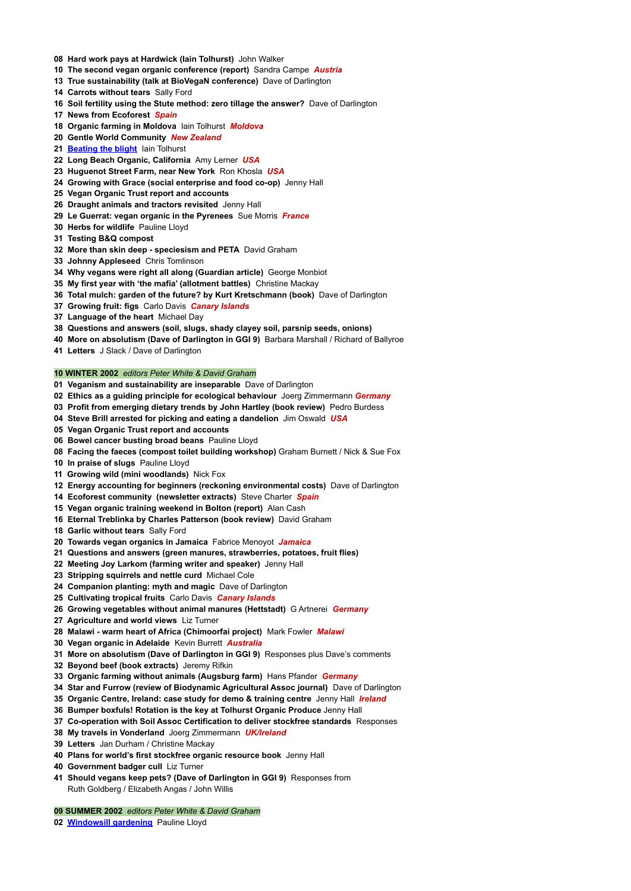- **Hard work pays at Hardwick (Iain Tolhurst)** John Walker
- **The second vegan organic conference (report)** Sandra Campe *Austria*
- **True sustainability (talk at BioVegaN conference)** Dave of Darlington
- **Carrots without tears** Sally Ford
- **Soil fertility using the Stute method: zero tillage the answer?** Dave of Darlington
- **News from Ecoforest** *Spain*
- **Organic farming in Moldova** Iain Tolhurst *Moldova*
- **Gentle World Community** *New Zealand*
- **[Beating](http://veganorganic.net/beating-potato-blight/) the blight** Iain Tolhurst
- **Long Beach Organic, California** Amy Lerner *USA*
- **Huguenot Street Farm, near New York** Ron Khosla *USA*
- **Growing with Grace (social enterprise and food co-op)** Jenny Hall
- **Vegan Organic Trust report and accounts**
- **Draught animals and tractors revisited** Jenny Hall
- **Le Guerrat: vegan organic in the Pyrenees** Sue Morris *France*
- **Herbs for wildlife** Pauline Lloyd
- **Testing B&Q compost**
- **More than skin deep - speciesism and PETA** David Graham
- **Johnny Appleseed** Chris Tomlinson
- **Why vegans were right all along (Guardian article)** George Monbiot
- **My first year with 'the mafia' (allotment battles)** Christine Mackay
- **Total mulch: garden of the future? by Kurt Kretschmann (book)** Dave of Darlington
- **Growing fruit: figs** Carlo Davis *Canary Islands*
- **Language of the heart** Michael Day
- **Questions and answers (soil, slugs, shady clayey soil, parsnip seeds, onions)**
- **More on absolutism (Dave of Darlington in GGI 9)** Barbara Marshall / Richard of Ballyroe
- **Letters** J Slack / Dave of Darlington

## **WINTER 2002** *editors Peter White & David Graham*

- **Veganism and sustainability are inseparable** Dave of Darlington
- **Ethics as a guiding principle for ecological behaviour** Joerg Zimmermann *Germany*
- **Profit from emerging dietary trends by John Hartley (book review)** Pedro Burdess
- **Steve Brill arrested for picking and eating a dandelion** Jim Oswald *USA*
- **Vegan Organic Trust report and accounts**
- **Bowel cancer busting broad beans** Pauline Lloyd
- **Facing the faeces (compost toilet building workshop)** Graham Burnett / Nick & Sue Fox
- **In praise of slugs** Pauline Lloyd
- **Growing wild (mini woodlands)** Nick Fox
- **Energy accounting for beginners (reckoning environmental costs)** Dave of Darlington
- **Ecoforest community (newsletter extracts)** Steve Charter *Spain*
- **Vegan organic training weekend in Bolton (report)** Alan Cash
- **Eternal Treblinka by Charles Patterson (book review)** David Graham
- **Garlic without tears** Sally Ford
- **Towards vegan organics in Jamaica** Fabrice Menoyot *Jamaica*
- **Questions and answers (green manures, strawberries, potatoes, fruit flies)**
- **Meeting Joy Larkom (farming writer and speaker)** Jenny Hall
- **Stripping squirrels and nettle curd** Michael Cole
- **Companion planting: myth and magic** Dave of Darlington
- **Cultivating tropical fruits** Carlo Davis *Canary Islands*
- **Growing vegetables without animal manures (Hettstadt)** G Artnerei *Germany*
- **Agriculture and world views** Liz Turner
- **Malawi - warm heart of Africa (Chimoorfai project)** Mark Fowler *Malawi*
- **Vegan organic in Adelaide** Kevin Burrett *Australia*
- **More on absolutism (Dave of Darlington in GGI 9)** Responses plus Dave's comments
- **Beyond beef (book extracts)** Jeremy Rifkin
- 
- **Organic farming without animals (Augsburg farm)** Hans Pfander *Germany*
- **Star and Furrow (review of Biodynamic Agricultural Assoc journal)** Dave of Darlington
- **Organic Centre, Ireland: case study for demo & training centre** Jenny Hall *Ireland*
- **Bumper boxfuls! Rotation is the key at Tolhurst Organic Produce** Jenny Hall
- **Co-operation with Soil Assoc Certification to deliver stockfree standards** Responses
- **My travels in Vonderland** Joerg Zimmermann *UK/Ireland*
- **Letters** Jan Durham / Christine Mackay
- **Plans for world's first stockfree organic resource book** Jenny Hall
- **Government badger cull** Liz Turner
- **Should vegans keep pets? (Dave of Darlington in GGI 9)** Responses from

Ruth Goldberg / Elizabeth Angas / John Willis

**SUMMER 2002** *editors Peter White & David Graham*

**[Windowsill](http://veganorganic.net/windowsill-gardening/) gardening** Pauline Lloyd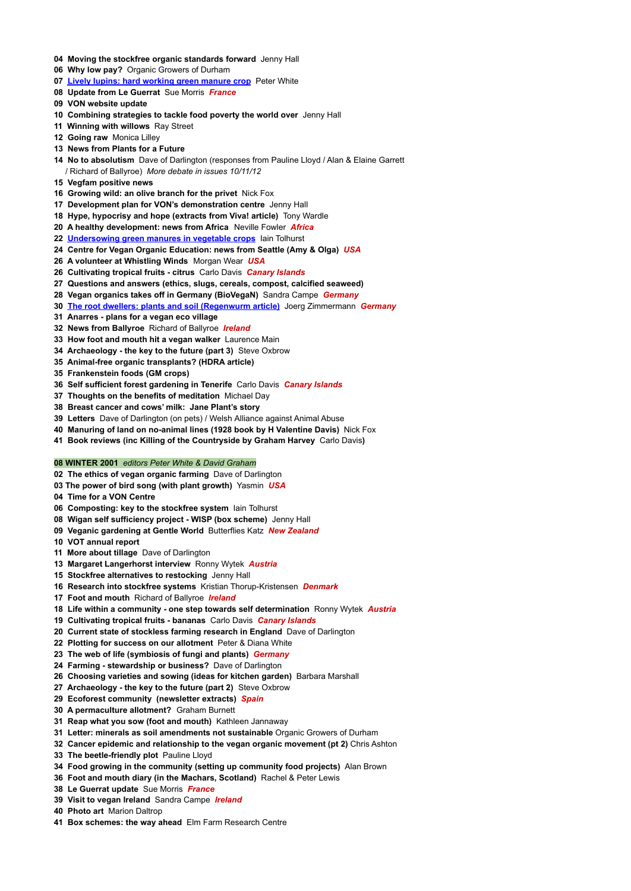- **Moving the stockfree organic standards forward** Jenny Hall
- **Why low pay?** Organic Growers of Durham
- **Lively lupins: hard [working](http://veganorganic.net/lupins-green-manure/) green manure crop** Peter White
- **Update from Le Guerrat** Sue Morris *France*
- **VON website update**
- **Combining strategies to tackle food poverty the world over** Jenny Hall
- **Winning with willows** Ray Street
- **Going raw** Monica Lilley
- **News from Plants for a Future**
- **No to absolutism** Dave of Darlington (responses from Pauline Lloyd / Alan & Elaine Garrett / Richard of Ballyroe) *More debate in issues 10/11/12*
- **Vegfam positive news**
- **Growing wild: an olive branch for the privet** Nick Fox
- **Development plan for VON's demonstration centre** Jenny Hall
- **Hype, hypocrisy and hope (extracts from Viva! article)** Tony Wardle
- **A healthy development: news from Africa** Neville Fowler *Africa*
- **[Undersowing](http://veganorganic.net/undersowing-green-manures/) green manures in vegetable crops** Iain Tolhurst
- **Centre for Vegan Organic Education: news from Seattle (Amy & Olga)** *USA*
- **A volunteer at Whistling Winds** Morgan Wear *USA*
- **Cultivating tropical fruits - citrus** Carlo Davis *Canary Islands*
- **Questions and answers (ethics, slugs, cereals, compost, calcified seaweed)**
- **Vegan organics takes off in Germany (BioVegaN)** Sandra Campe *Germany*
- **The root dwellers: plants and soil [\(Regenwurm](http://veganorganic.net/the-root-dwellers/) article)** Joerg Zimmermann *Germany*
- **Anarres - plans for a vegan eco village**
- **News from Ballyroe** Richard of Ballyroe *Ireland*
- **How foot and mouth hit a vegan walker** Laurence Main
- **Archaeology - the key to the future (part 3)** Steve Oxbrow
- **Animal-free organic transplants? (HDRA article)**
- **Frankenstein foods (GM crops)**
- **Self sufficient forest gardening in Tenerife** Carlo Davis *Canary Islands*
- **Thoughts on the benefits of meditation** Michael Day
- **Breast cancer and cows' milk: Jane Plant's story**
- **Letters** Dave of Darlington (on pets) / Welsh Alliance against Animal Abuse
- **Manuring of land on no-animal lines (1928 book by H Valentine Davis)** Nick Fox
- **Book reviews (inc Killing of the Countryside by Graham Harvey** Carlo Davis**)**

## **WINTER 2001** *editors Peter White & David Graham*

- **The ethics of vegan organic farming** Dave of Darlington
- **The power of bird song (with plant growth)** Yasmin *USA*
- **Time for a VON Centre**
- **Composting: key to the stockfree system** Iain Tolhurst
- **Wigan self sufficiency project - WISP (box scheme)** Jenny Hall
- **Veganic gardening at Gentle World** Butterflies Katz *New Zealand*
- **VOT annual report**
- **More about tillage** Dave of Darlington
- **Margaret Langerhorst interview** Ronny Wytek *Austria*
- **Stockfree alternatives to restocking** Jenny Hall
- **Research into stockfree systems** Kristian Thorup-Kristensen *Denmark*
- **Foot and mouth** Richard of Ballyroe *Ireland*
- **Life within a community - one step towards self determination** Ronny Wytek *Austria*
- **Cultivating tropical fruits - bananas** Carlo Davis *Canary Islands*
- **Current state of stockless farming research in England** Dave of Darlington
- **Plotting for success on our allotment** Peter & Diana White
- **The web of life (symbiosis of fungi and plants)** *Germany*
- **Farming - stewardship or business?** Dave of Darlington
- 
- **Choosing varieties and sowing (ideas for kitchen garden)** Barbara Marshall
- **Archaeology - the key to the future (part 2)** Steve Oxbrow
- **Ecoforest community (newsletter extracts)** *Spain*
- **A permaculture allotment?** Graham Burnett
- **Reap what you sow (foot and mouth)** Kathleen Jannaway
- **Letter: minerals as soil amendments not sustainable** Organic Growers of Durham
- **Cancer epidemic and relationship to the vegan organic movement (pt 2)** Chris Ashton
- **The beetle-friendly plot** Pauline Lloyd
- **Food growing in the community (setting up community food projects)** Alan Brown
- **Foot and mouth diary (in the Machars, Scotland)** Rachel & Peter Lewis
- **Le Guerrat update** Sue Morris *France*
- **Visit to vegan Ireland** Sandra Campe *Ireland*
- **Photo art** Marion Daltrop
- **Box schemes: the way ahead** Elm Farm Research Centre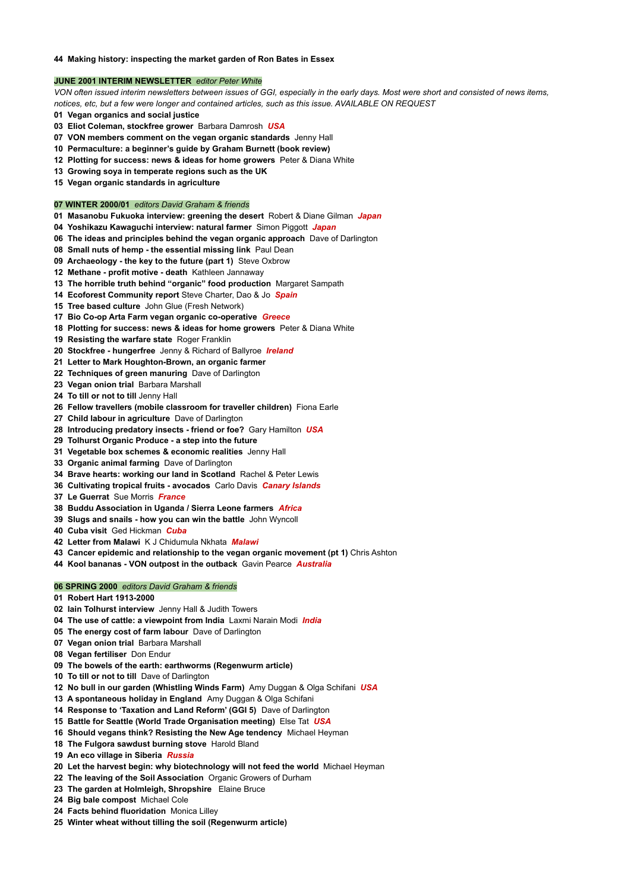# **Making history: inspecting the market garden of Ron Bates in Essex**

## **JUNE 2001 INTERIM NEWSLETTER** *editor Peter White*

VON often issued interim newsletters between issues of GGI, especially in the early days. Most were short and consisted of news items, *notices, etc, but a few were longer and contained articles, such as this issue. AVAILABLE ON REQUEST*

- **Vegan organics and social justice**
- **Eliot Coleman, stockfree grower** Barbara Damrosh *USA*
- **VON members comment on the vegan organic standards** Jenny Hall
- **Permaculture: a beginner's guide by Graham Burnett (book review)**
- **Plotting for success: news & ideas for home growers** Peter & Diana White
- **Growing soya in temperate regions such as the UK**
- **Vegan organic standards in agriculture**

## **WINTER 2000/01** *editors David Graham & friends*

- **Masanobu Fukuoka interview: greening the desert** Robert & Diane Gilman *Japan*
- **Yoshikazu Kawaguchi interview: natural farmer** Simon Piggott *Japan*
- **The ideas and principles behind the vegan organic approach** Dave of Darlington
- **Small nuts of hemp - the essential missing link** Paul Dean
- **Archaeology - the key to the future (part 1)** Steve Oxbrow
- **Methane - profit motive - death** Kathleen Jannaway
- **The horrible truth behind "organic" food production** Margaret Sampath
- **Ecoforest Community report** Steve Charter, Dao & Jo *Spain*
- **Tree based culture** John Glue (Fresh Network)
- **Bio Co-op Arta Farm vegan organic co-operative** *Greece*
- **Plotting for success: news & ideas for home growers** Peter & Diana White
- **Resisting the warfare state** Roger Franklin
- **Stockfree - hungerfree** Jenny & Richard of Ballyroe *Ireland*
- **Letter to Mark Houghton-Brown, an organic farmer**
- **Techniques of green manuring** Dave of Darlington
- **Vegan onion trial** Barbara Marshall
- **To till or not to till** Jenny Hall
- **Fellow travellers (mobile classroom for traveller children)** Fiona Earle
- **Child labour in agriculture** Dave of Darlington
- **Introducing predatory insects - friend or foe?** Gary Hamilton *USA*
- **Tolhurst Organic Produce - a step into the future**
- **Vegetable box schemes & economic realities** Jenny Hall
- **Organic animal farming** Dave of Darlington
- **Brave hearts: working our land in Scotland** Rachel & Peter Lewis
- **Cultivating tropical fruits - avocados** Carlo Davis *Canary Islands*
- **Le Guerrat** Sue Morris *France*
- **Buddu Association in Uganda / Sierra Leone farmers** *Africa*
- **Slugs and snails - how you can win the battle** John Wyncoll
- **Cuba visit** Ged Hickman *Cuba*
- **Letter from Malawi** K J Chidumula Nkhata *Malawi*
- **Cancer epidemic and relationship to the vegan organic movement (pt 1)** Chris Ashton
- **Kool bananas - VON outpost in the outback** Gavin Pearce *Australia*

# **SPRING 2000** *editors David Graham & friends*

- **Robert Hart 1913-2000**
- **Iain Tolhurst interview** Jenny Hall & Judith Towers
- **The use of cattle: a viewpoint from India** Laxmi Narain Modi *India*
- **The energy cost of farm labour** Dave of Darlington
- **Vegan onion trial** Barbara Marshall
- **Vegan fertiliser** Don Endur
- **The bowels of the earth: earthworms (Regenwurm article)**
- 

**To till or not to till** Dave of Darlington

- **No bull in our garden (Whistling Winds Farm)** Amy Duggan & Olga Schifani *USA*
- **A spontaneous holiday in England** Amy Duggan & Olga Schifani
- **Response to 'Taxation and Land Reform' (GGI 5)** Dave of Darlington
- **Battle for Seattle (World Trade Organisation meeting)** Else Tat *USA*
- **Should vegans think? Resisting the New Age tendency** Michael Heyman
- **The Fulgora sawdust burning stove** Harold Bland
- **An eco village in Siberia** *Russia*
- **Let the harvest begin: why biotechnology will not feed the world** Michael Heyman
- **The leaving of the Soil Association** Organic Growers of Durham
- **The garden at Holmleigh, Shropshire** Elaine Bruce
- **Big bale compost** Michael Cole
- **Facts behind fluoridation** Monica Lilley
- **Winter wheat without tilling the soil (Regenwurm article)**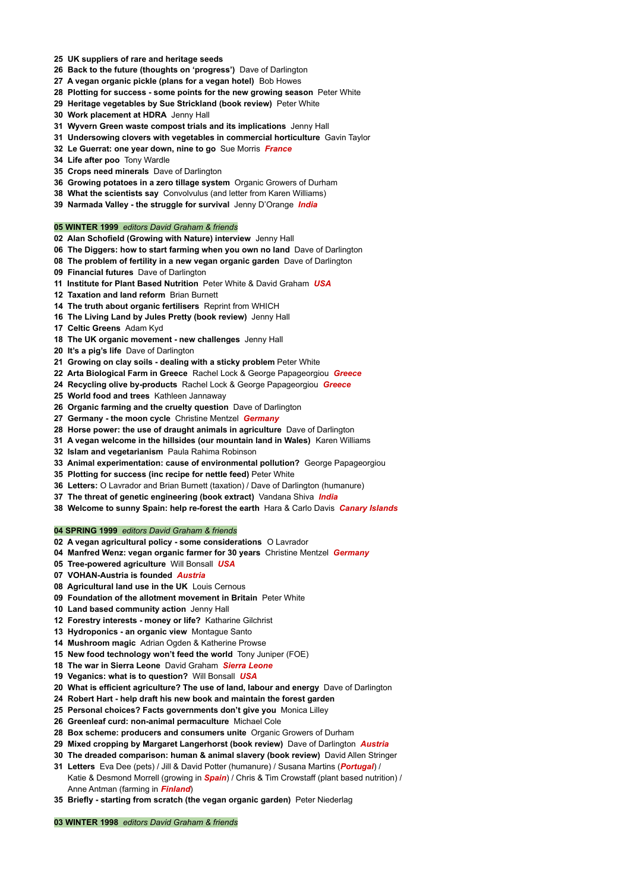- **UK suppliers of rare and heritage seeds**
- **Back to the future (thoughts on 'progress')** Dave of Darlington
- **A vegan organic pickle (plans for a vegan hotel)** Bob Howes
- **Plotting for success - some points for the new growing season** Peter White
- **Heritage vegetables by Sue Strickland (book review)** Peter White
- **Work placement at HDRA** Jenny Hall
- **Wyvern Green waste compost trials and its implications** Jenny Hall
- **Undersowing clovers with vegetables in commercial horticulture** Gavin Taylor
- **Le Guerrat: one year down, nine to go** Sue Morris *France*
- **Life after poo** Tony Wardle
- **Crops need minerals** Dave of Darlington
- **Growing potatoes in a zero tillage system** Organic Growers of Durham
- **What the scientists say** Convolvulus (and letter from Karen Williams)
- **Narmada Valley - the struggle for survival** Jenny D'Orange *India*

## **WINTER 1999** *editors David Graham & friends*

- **Alan Schofield (Growing with Nature) interview** Jenny Hall
- **The Diggers: how to start farming when you own no land** Dave of Darlington
- **The problem of fertility in a new vegan organic garden** Dave of Darlington
- **Financial futures** Dave of Darlington
- **Institute for Plant Based Nutrition** Peter White & David Graham *USA*
- **Taxation and land reform** Brian Burnett
- **The truth about organic fertilisers** Reprint from WHICH
- **The Living Land by Jules Pretty (book review)** Jenny Hall
- **Celtic Greens** Adam Kyd
- **The UK organic movement - new challenges** Jenny Hall
- **It's a pig's life** Dave of Darlington
- **Growing on clay soils - dealing with a sticky problem** Peter White
- **Arta Biological Farm in Greece** Rachel Lock & George Papageorgiou *Greece*
- **Recycling olive by-products** Rachel Lock & George Papageorgiou *Greece*
- **World food and trees** Kathleen Jannaway
- **Organic farming and the cruelty question** Dave of Darlington
- **Germany - the moon cycle** Christine Mentzel *Germany*
- **Horse power: the use of draught animals in agriculture** Dave of Darlington
- **A vegan welcome in the hillsides (our mountain land in Wales)** Karen Williams
- **Islam and vegetarianism** Paula Rahima Robinson
- **Animal experimentation: cause of environmental pollution?** George Papageorgiou
- **Plotting for success (inc recipe for nettle feed)** Peter White
- **Letters:** O Lavrador and Brian Burnett (taxation) / Dave of Darlington (humanure)
- **The threat of genetic engineering (book extract)** Vandana Shiva *India*
- **Welcome to sunny Spain: help re-forest the earth** Hara & Carlo Davis *Canary Islands*

## **SPRING 1999** *editors David Graham & friends*

- **A vegan agricultural policy - some considerations** O Lavrador
- **Manfred Wenz: vegan organic farmer for 30 years** Christine Mentzel *Germany*
- **Tree-powered agriculture** Will Bonsall *USA*
- **VOHAN-Austria is founded** *Austria*
- **Agricultural land use in the UK** Louis Cernous
- **Foundation of the allotment movement in Britain** Peter White
- **Land based community action** Jenny Hall
- **Forestry interests - money or life?** Katharine Gilchrist
- **Hydroponics - an organic view** Montague Santo
- **Mushroom magic** Adrian Ogden & Katherine Prowse
- **New food technology won't feed the world** Tony Juniper (FOE)
- **The war in Sierra Leone** David Graham *Sierra Leone*
- 
- **Veganics: what is to question?** Will Bonsall *USA*
- **What is efficient agriculture? The use of land, labour and energy** Dave of Darlington
- **Robert Hart - help draft his new book and maintain the forest garden**
- **Personal choices? Facts governments don't give you** Monica Lilley
- **Greenleaf curd: non-animal permaculture** Michael Cole
- **Box scheme: producers and consumers unite** Organic Growers of Durham
- **Mixed cropping by Margaret Langerhorst (book review)** Dave of Darlington *Austria*
- **The dreaded comparison: human & animal slavery (book review)** David Allen Stringer
- **Letters** Eva Dee (pets) / Jill & David Potter (humanure) / Susana Martins (*Portugal*) / Katie & Desmond Morrell (growing in *Spain*) / Chris & Tim Crowstaff (plant based nutrition) / Anne Antman (farming in *Finland*)
- **Briefly - starting from scratch (the vegan organic garden)** Peter Niederlag

**WINTER 1998** *editors David Graham & friends*